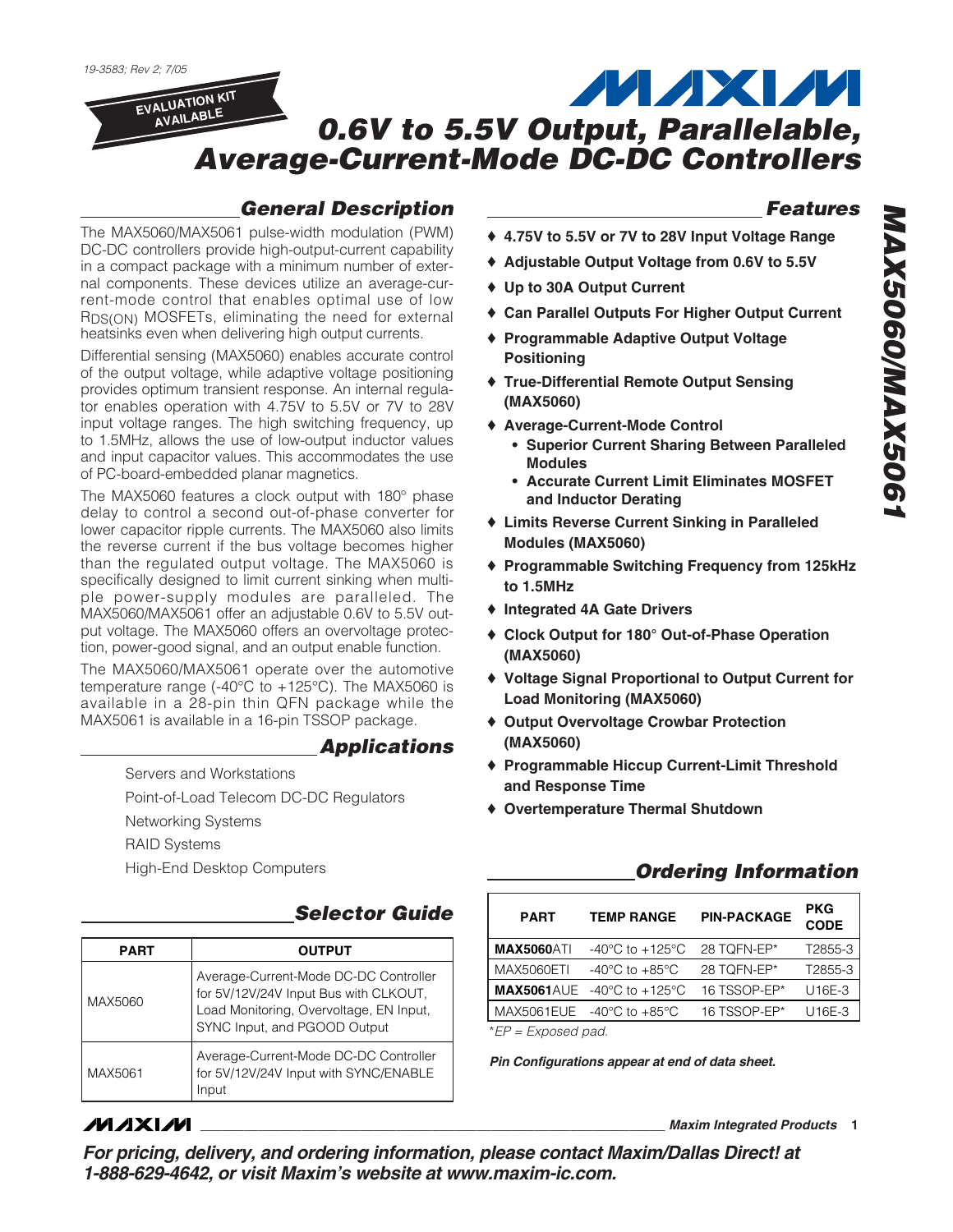

## *General Description*

The MAX5060/MAX5061 pulse-width modulation (PWM) DC-DC controllers provide high-output-current capability in a compact package with a minimum number of external components. These devices utilize an average-current-mode control that enables optimal use of low RDS(ON) MOSFETs, eliminating the need for external heatsinks even when delivering high output currents.

Differential sensing (MAX5060) enables accurate control of the output voltage, while adaptive voltage positioning provides optimum transient response. An internal regulator enables operation with 4.75V to 5.5V or 7V to 28V input voltage ranges. The high switching frequency, up to 1.5MHz, allows the use of low-output inductor values and input capacitor values. This accommodates the use of PC-board-embedded planar magnetics.

The MAX5060 features a clock output with 180° phase delay to control a second out-of-phase converter for lower capacitor ripple currents. The MAX5060 also limits the reverse current if the bus voltage becomes higher than the regulated output voltage. The MAX5060 is specifically designed to limit current sinking when multiple power-supply modules are paralleled. The MAX5060/MAX5061 offer an adjustable 0.6V to 5.5V output voltage. The MAX5060 offers an overvoltage protection, power-good signal, and an output enable function.

The MAX5060/MAX5061 operate over the automotive temperature range (-40°C to +125°C). The MAX5060 is available in a 28-pin thin QFN package while the MAX5061 is available in a 16-pin TSSOP package.

## *Applications*

Servers and Workstations

Point-of-Load Telecom DC-DC Regulators

Networking Systems

RAID Systems

High-End Desktop Computers

## **Selector Guide**

| PART    | <b>OUTPUT</b>                                                                                                                                             |  |  |  |  |  |  |
|---------|-----------------------------------------------------------------------------------------------------------------------------------------------------------|--|--|--|--|--|--|
| MAX5060 | Average-Current-Mode DC-DC Controller<br>for 5V/12V/24V Input Bus with CLKOUT,<br>Load Monitoring, Overvoltage, EN Input,<br>SYNC Input, and PGOOD Output |  |  |  |  |  |  |
| MAX5061 | Average-Current-Mode DC-DC Controller<br>for 5V/12V/24V Input with SYNC/ENABLE<br>Input                                                                   |  |  |  |  |  |  |

## **MAXIM**

## *Features*

- ♦ **4.75V to 5.5V or 7V to 28V Input Voltage Range**
- ♦ **Adjustable Output Voltage from 0.6V to 5.5V**
- ♦ **Up to 30A Output Current**
- ♦ **Can Parallel Outputs For Higher Output Current**
- ♦ **Programmable Adaptive Output Voltage Positioning**
- ♦ **True-Differential Remote Output Sensing (MAX5060)**
- ♦ **Average-Current-Mode Control**
	- **• Superior Current Sharing Between Paralleled Modules**
	- **• Accurate Current Limit Eliminates MOSFET and Inductor Derating**
- ♦ **Limits Reverse Current Sinking in Paralleled Modules (MAX5060)**
- ♦ **Programmable Switching Frequency from 125kHz to 1.5MHz**
- ♦ **Integrated 4A Gate Drivers**
- ♦ **Clock Output for 180° Out-of-Phase Operation (MAX5060)**
- ♦ **Voltage Signal Proportional to Output Current for Load Monitoring (MAX5060)**
- ♦ **Output Overvoltage Crowbar Protection (MAX5060)**
- ♦ **Programmable Hiccup Current-Limit Threshold and Response Time**
- ♦ **Overtemperature Thermal Shutdown**

## *Ordering Information*

| <b>PART</b>        | <b>TEMP RANGE</b>                                      | <b>PIN-PACKAGE</b> | <b>PKG</b><br><b>CODE</b> |
|--------------------|--------------------------------------------------------|--------------------|---------------------------|
| <b>MAX5060ATI</b>  | $-40^{\circ}$ C to $+125^{\circ}$ C                    | 28 TOFN-EP*        | T2855-3                   |
| MAX5060ETI         | $-40^{\circ}$ C to $+85^{\circ}$ C                     | 28 TOFN-EP*        | T2855-3                   |
|                    | <b>MAX5061</b> AUE $-40^{\circ}$ C to $+125^{\circ}$ C | 16 TSSOP-EP*       | U16E-3                    |
|                    | MAX5061EUE $-40^{\circ}$ C to $+85^{\circ}$ C          | 16 TSSOP-EP*       | U16E-3                    |
| $*FP - Fynoed nad$ |                                                        |                    |                           |

\**EP = Exposed pad.*

*Pin Configurations appear at end of data sheet.*

**\_\_\_\_\_\_\_\_\_\_\_\_\_\_\_\_\_\_\_\_\_\_\_\_\_\_\_\_\_\_\_\_\_\_\_\_\_\_\_\_\_\_\_\_\_\_\_\_\_\_\_\_\_\_\_\_\_\_\_\_\_\_\_\_** *Maxim Integrated Products* **1**

*For pricing, delivery, and ordering information, please contact Maxim/Dallas Direct! at 1-888-629-4642, or visit Maxim's website at www.maxim-ic.com.*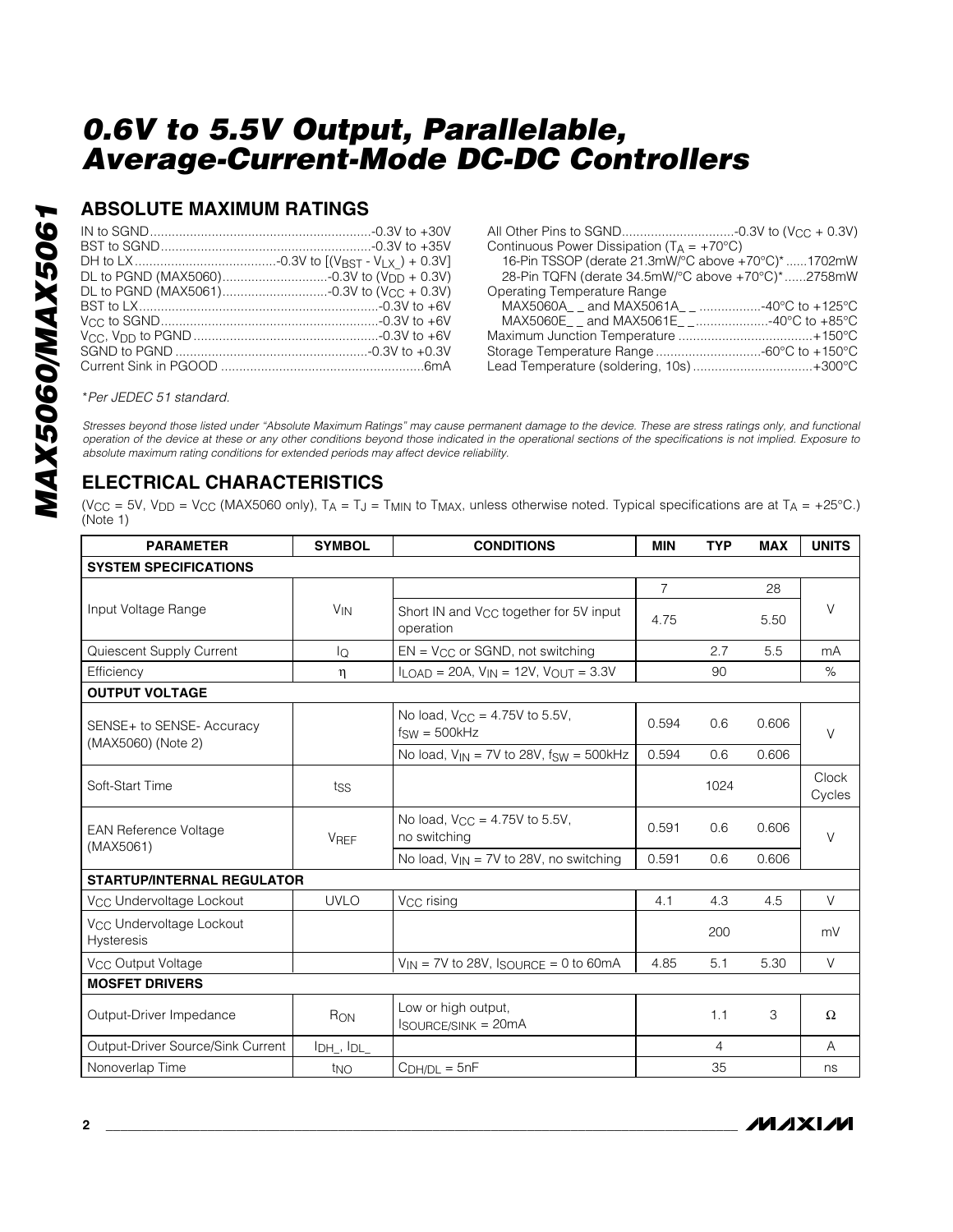## **ABSOLUTE MAXIMUM RATINGS**

| Continuous Power Dissipation ( $T_A = +70^{\circ}C$ ) |  |
|-------------------------------------------------------|--|
| 16-Pin TSSOP (derate 21.3mW/°C above +70°C)* 1702mW   |  |
| 28-Pin TQFN (derate 34.5mW/°C above +70°C)*2758mW     |  |
| Operating Temperature Range                           |  |
| MAX5060A and MAX5061A 40°C to +125°C                  |  |
| MAX5060E and MAX5061E $\ldots$ 40°C to +85°C          |  |
|                                                       |  |
| Storage Temperature Range -60°C to +150°C             |  |
| Lead Temperature (soldering, 10s) +300°C              |  |
|                                                       |  |

\**Per JEDEC 51 standard.*

*Stresses beyond those listed under "Absolute Maximum Ratings" may cause permanent damage to the device. These are stress ratings only, and functional operation of the device at these or any other conditions beyond those indicated in the operational sections of the specifications is not implied. Exposure to absolute maximum rating conditions for extended periods may affect device reliability.*

## **ELECTRICAL CHARACTERISTICS**

(V<sub>CC</sub> = 5V, V<sub>DD</sub> = V<sub>CC</sub> (MAX5060 only), T<sub>A</sub> = T<sub>J</sub> = T<sub>MIN</sub> to T<sub>MAX</sub>, unless otherwise noted. Typical specifications are at T<sub>A</sub> = +25°C.) (Note 1)

| <b>PARAMETER</b>                                          | <b>SYMBOL</b>                                            | <b>CONDITIONS</b>                                               | <b>MIN</b>     | <b>TYP</b> | <b>MAX</b> | <b>UNITS</b>    |  |
|-----------------------------------------------------------|----------------------------------------------------------|-----------------------------------------------------------------|----------------|------------|------------|-----------------|--|
| <b>SYSTEM SPECIFICATIONS</b>                              |                                                          |                                                                 |                |            |            |                 |  |
|                                                           |                                                          |                                                                 | $\overline{7}$ |            | 28         |                 |  |
| Input Voltage Range                                       | <b>V<sub>IN</sub></b>                                    | Short IN and V <sub>CC</sub> together for 5V input<br>operation | 4.75           |            | 5.50       | $\vee$          |  |
| Quiescent Supply Current                                  | lQ                                                       | $EN = V_{CC}$ or SGND, not switching                            |                | 2.7        | 5.5        | mA              |  |
| Efficiency                                                | $I_{LOAD}$ = 20A, $V_{IN}$ = 12V, $V_{OUIT}$ = 3.3V<br>η |                                                                 |                |            |            |                 |  |
| <b>OUTPUT VOLTAGE</b>                                     |                                                          |                                                                 |                |            |            |                 |  |
| SENSE+ to SENSE- Accuracy<br>(MAX5060) (Note 2)           |                                                          | No load, $V_{CC} = 4.75V$ to 5.5V,<br>$f_{SW} = 500kHz$         | 0.594          | 0.6        | 0.606      | $\vee$          |  |
|                                                           |                                                          | No load, $V_{IN} = 7V$ to 28V, fsw = 500kHz                     | 0.594          | 0.6        | 0.606      |                 |  |
| Soft-Start Time                                           | tss                                                      |                                                                 |                | 1024       |            | Clock<br>Cycles |  |
| <b>EAN Reference Voltage</b>                              | <b>VREF</b>                                              | No load, $V_{CC} = 4.75V$ to 5.5V,<br>no switching              | 0.591          | 0.6        | 0.606      | $\vee$          |  |
| (MAX5061)                                                 |                                                          | No load, $V_{IN} = 7V$ to 28V, no switching                     | 0.591          | 0.6        | 0.606      |                 |  |
| <b>STARTUP/INTERNAL REGULATOR</b>                         |                                                          |                                                                 |                |            |            |                 |  |
| V <sub>CC</sub> Undervoltage Lockout                      | <b>UVLO</b>                                              | V <sub>CC</sub> rising                                          | 4.1            | 4.3        | 4.5        | $\vee$          |  |
| V <sub>CC</sub> Undervoltage Lockout<br><b>Hysteresis</b> |                                                          |                                                                 |                | 200        |            | mV              |  |
| V <sub>CC</sub> Output Voltage                            |                                                          | $V_{IN}$ = 7V to 28V, $I_{SOURCE}$ = 0 to 60mA                  | 4.85           | 5.1        | 5.30       | V               |  |
| <b>MOSFET DRIVERS</b>                                     |                                                          |                                                                 |                |            |            |                 |  |
| Output-Driver Impedance                                   | RON                                                      | Low or high output,<br><b>ISOURCE/SINK = 20mA</b>               |                | 1.1        | 3          | Ω               |  |
| Output-Driver Source/Sink Current                         | I <sub>DH</sub> , I <sub>DL</sub>                        |                                                                 |                | 4          |            | A               |  |
| Nonoverlap Time                                           | t <sub>NO</sub>                                          | $CDH/DL = 5nF$                                                  |                | 35         |            | ns              |  |

**MAXIM**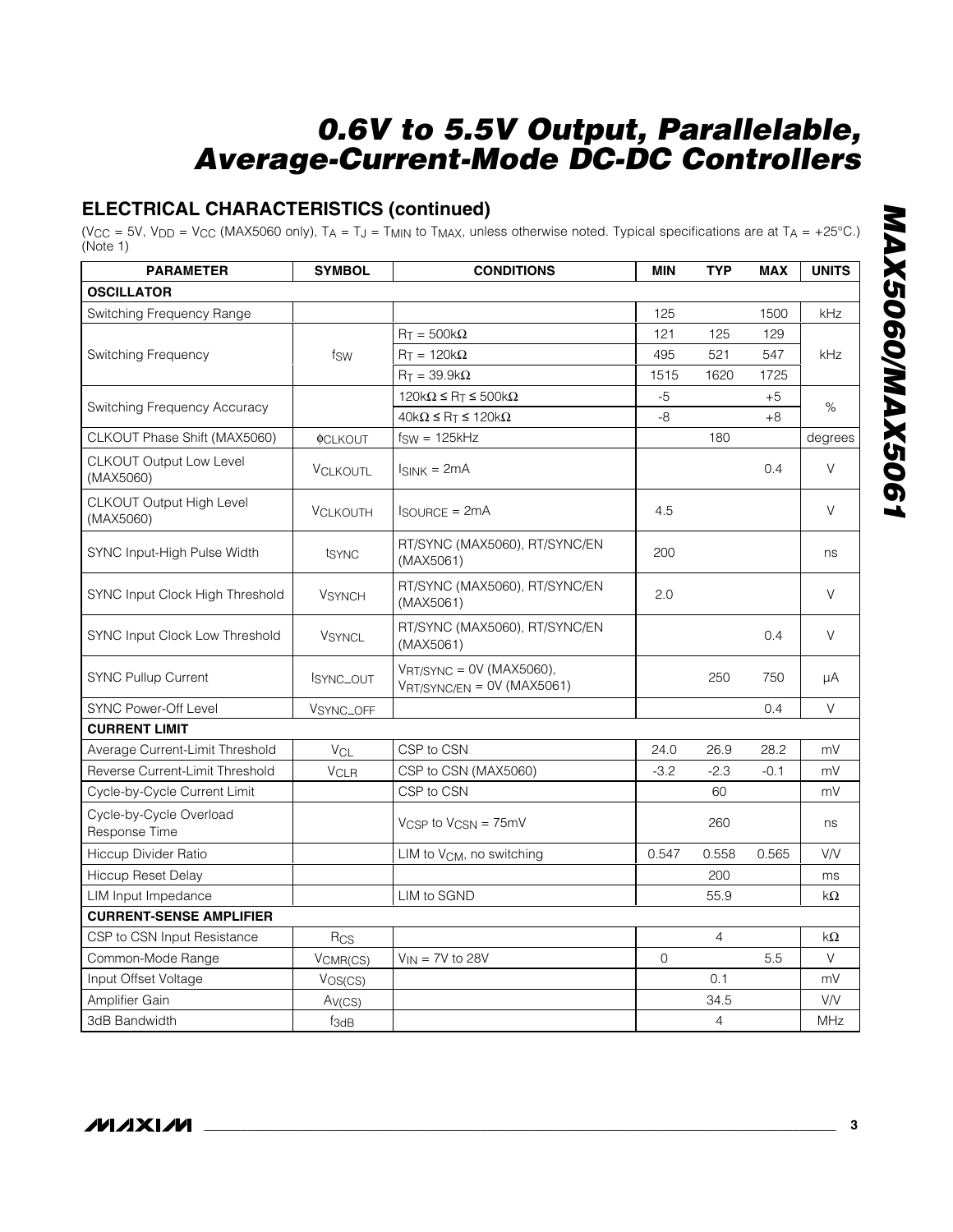## **ELECTRICAL CHARACTERISTICS (continued)**

(V<sub>CC</sub> = 5V, V<sub>DD</sub> = V<sub>CC</sub> (MAX5060 only), T<sub>A</sub> = T<sub>J</sub> = T<sub>MIN</sub> to T<sub>MAX</sub>, unless otherwise noted. Typical specifications are at T<sub>A</sub> = +25°C.) (Note 1)

| <b>PARAMETER</b>                            | <b>SYMBOL</b>         | <b>CONDITIONS</b>                                                    | <b>MIN</b> | <b>TYP</b>     | <b>MAX</b> | <b>UNITS</b> |
|---------------------------------------------|-----------------------|----------------------------------------------------------------------|------------|----------------|------------|--------------|
| <b>OSCILLATOR</b>                           |                       |                                                                      |            |                |            |              |
| Switching Frequency Range                   |                       |                                                                      | 125        |                | 1500       | kHz          |
|                                             |                       | $R_T = 500k\Omega$                                                   | 121        | 125            | 129        |              |
| Switching Frequency                         | fsw                   | $RT = 120k\Omega$                                                    | 495        | 521            | 547        | kHz          |
|                                             |                       | $R_T = 39.9k\Omega$                                                  | 1515       | 1620           | 1725       |              |
|                                             |                       | $120k\Omega \leq R_T \leq 500k\Omega$                                | $-5$       |                | $+5$       | $\%$         |
| Switching Frequency Accuracy                |                       | $40k\Omega \le R_T \le 120k\Omega$                                   | -8         |                | $+8$       |              |
| CLKOUT Phase Shift (MAX5060)                | <b><i>OCLKOUT</i></b> | $f_{SW} = 125kHz$                                                    |            | 180            |            | degrees      |
| <b>CLKOUT Output Low Level</b><br>(MAX5060) | <b>VCLKOUTL</b>       | $IsINK = 2mA$                                                        |            |                | 0.4        | $\vee$       |
| CLKOUT Output High Level<br>(MAX5060)       | <b>VCLKOUTH</b>       | $I_{\text{SOLIRCE}} = 2 \text{mA}$                                   | 4.5        |                |            | $\vee$       |
| SYNC Input-High Pulse Width                 | tsync                 | RT/SYNC (MAX5060), RT/SYNC/EN<br>(MAX5061)                           | 200        |                |            | ns           |
| SYNC Input Clock High Threshold             | <b>VSYNCH</b>         | RT/SYNC (MAX5060), RT/SYNC/EN<br>(MAX5061)                           | 2.0        |                |            | $\vee$       |
| SYNC Input Clock Low Threshold              | <b>VSYNCL</b>         | RT/SYNC (MAX5060), RT/SYNC/EN<br>(MAX5061)                           |            |                | 0.4        | $\vee$       |
| <b>SYNC Pullup Current</b>                  | ISYNC_OUT             | $V_{\text{RT/SYNC}} = 0V$ (MAX5060),<br>$VRT/SYNC/EN = OV (MAX5061)$ |            | 250            | 750        | μA           |
| <b>SYNC Power-Off Level</b>                 | VSYNC_OFF             |                                                                      |            |                | 0.4        | $\vee$       |
| <b>CURRENT LIMIT</b>                        |                       |                                                                      |            |                |            |              |
| Average Current-Limit Threshold             | $V_{CL}$              | CSP to CSN                                                           | 24.0       | 26.9           | 28.2       | mV           |
| Reverse Current-Limit Threshold             | <b>VCLR</b>           | CSP to CSN (MAX5060)                                                 | $-3.2$     | $-2.3$         | $-0.1$     | mV           |
| Cycle-by-Cycle Current Limit                |                       | CSP to CSN                                                           |            | 60             |            | mV           |
| Cycle-by-Cycle Overload<br>Response Time    |                       | $V_{\text{CSP}}$ to $V_{\text{CSN}} = 75$ mV                         |            | 260            |            | ns           |
| <b>Hiccup Divider Ratio</b>                 |                       | LIM to V <sub>CM</sub> , no switching                                | 0.547      | 0.558          | 0.565      | VN           |
| <b>Hiccup Reset Delay</b>                   |                       |                                                                      |            | 200            |            | ms           |
| <b>LIM Input Impedance</b>                  |                       | LIM to SGND                                                          |            | 55.9           |            | $k\Omega$    |
| <b>CURRENT-SENSE AMPLIFIER</b>              |                       |                                                                      |            |                |            |              |
| CSP to CSN Input Resistance                 | Rcs                   |                                                                      |            | $\overline{4}$ |            | $k\Omega$    |
| Common-Mode Range                           | VCMR(CS)              | $V_{IN}$ = 7V to 28V                                                 | $\Omega$   |                | 5.5        | V            |
| Input Offset Voltage                        | VOS(CS)               |                                                                      |            | 0.1            |            | mV           |
| Amplifier Gain                              | Av(CS)                |                                                                      |            | 34.5           |            | VN           |
| 3dB Bandwidth                               | $f_{3dB}$             |                                                                      |            | $\overline{4}$ |            | <b>MHz</b>   |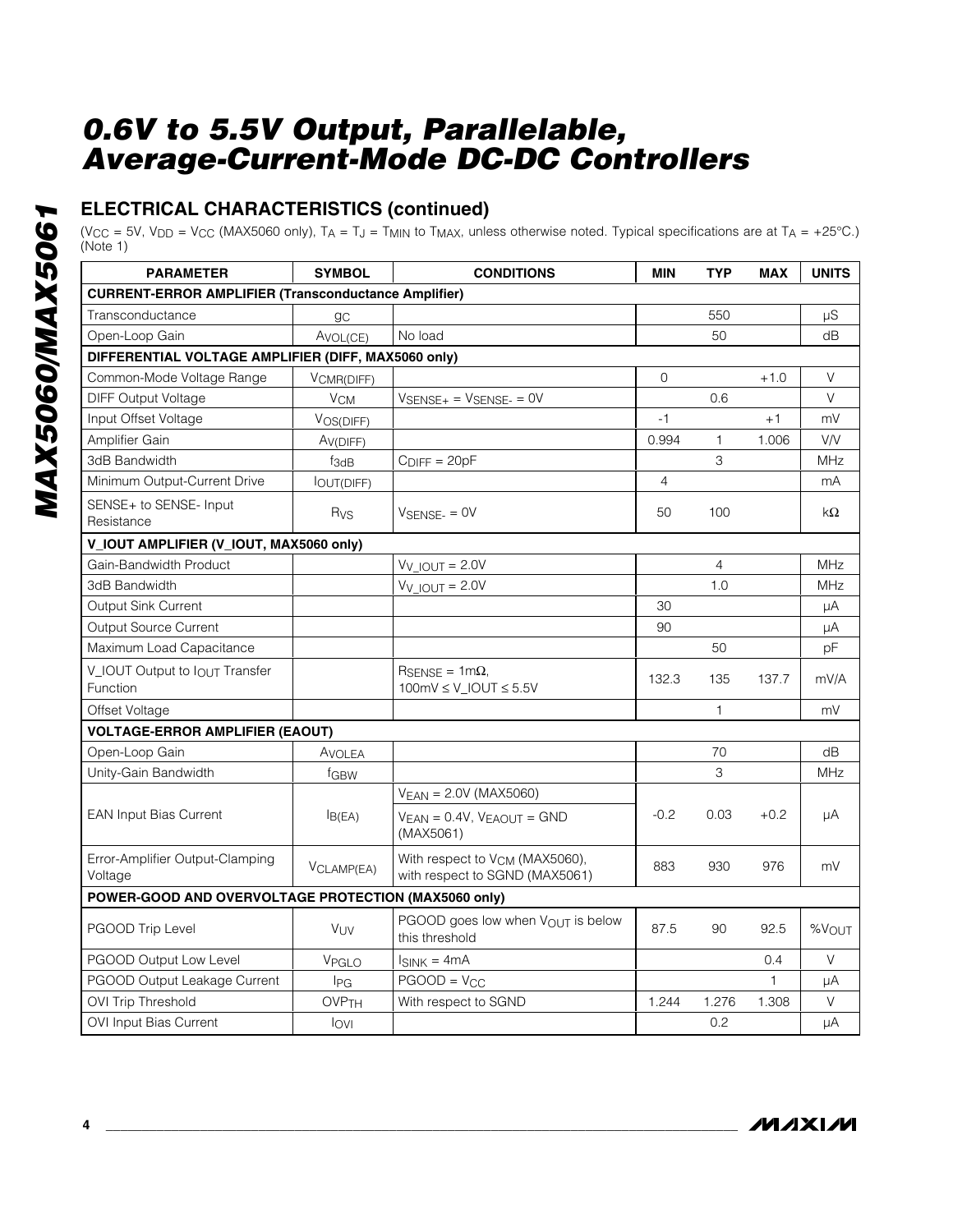## **ELECTRICAL CHARACTERISTICS (continued)**

(V<sub>CC</sub> = 5V, V<sub>DD</sub> = V<sub>CC</sub> (MAX5060 only),  $T_A = T_J = T_{MIN}$  to  $T_{MAX}$ , unless otherwise noted. Typical specifications are at  $T_A = +25^{\circ}$ C.) (Note 1)

| <b>PARAMETER</b>                                            | <b>SYMBOL</b>                                                                     | <b>CONDITIONS</b>                                                            | <b>MIN</b> | <b>TYP</b>     | <b>MAX</b>   | <b>UNITS</b> |
|-------------------------------------------------------------|-----------------------------------------------------------------------------------|------------------------------------------------------------------------------|------------|----------------|--------------|--------------|
| <b>CURRENT-ERROR AMPLIFIER (Transconductance Amplifier)</b> |                                                                                   |                                                                              |            |                |              |              |
| Transconductance                                            | <b>gc</b>                                                                         |                                                                              |            | 550            |              | μS           |
| Open-Loop Gain                                              | AVOL(CE)                                                                          | No load                                                                      |            | 50             |              | dB           |
| DIFFERENTIAL VOLTAGE AMPLIFIER (DIFF, MAX5060 only)         |                                                                                   |                                                                              |            |                |              |              |
| Common-Mode Voltage Range                                   | VCMR(DIFF)                                                                        |                                                                              | $\Omega$   |                | $+1.0$       | V            |
| <b>DIFF Output Voltage</b>                                  | <b>V<sub>CM</sub></b>                                                             | $V_{\text{SENSE+}} = V_{\text{SENSE-}} = 0V$                                 |            | 0.6            |              | V            |
| Input Offset Voltage                                        | VOS(DIFF)                                                                         |                                                                              | $-1$       |                | $+1$         | mV           |
| Amplifier Gain                                              | A <sub>V</sub> (DIFF)                                                             |                                                                              | 0.994      | $\mathbf{1}$   | 1.006        | VN           |
| 3dB Bandwidth                                               | f <sub>3dB</sub>                                                                  | $C_{\text{DIFF}} = 20pF$                                                     |            | 3              |              | <b>MHz</b>   |
| Minimum Output-Current Drive                                | <b>OUT(DIFF)</b>                                                                  |                                                                              | 4          |                |              | mA           |
| SENSE+ to SENSE- Input<br>Resistance                        | Rvs<br>$V_{\text{SENSE-}} = \text{OV}$<br>V_IOUT AMPLIFIER (V_IOUT, MAX5060 only) |                                                                              |            |                |              | $k\Omega$    |
|                                                             |                                                                                   |                                                                              |            |                |              |              |
| Gain-Bandwidth Product                                      |                                                                                   | $V_V$ IOUT = 2.0V                                                            |            | $\overline{4}$ |              | MHz          |
| 3dB Bandwidth                                               |                                                                                   | $V_V$ IOUT = 2.0V                                                            |            | 1.0            |              | MHz          |
| <b>Output Sink Current</b>                                  |                                                                                   |                                                                              | 30         |                |              | μA           |
| <b>Output Source Current</b>                                |                                                                                   |                                                                              | 90         |                |              | μA           |
| Maximum Load Capacitance                                    |                                                                                   |                                                                              |            | 50             |              | pF           |
| V_IOUT Output to $I_{\text{OUT}}$ Transfer<br>Function      |                                                                                   | $R_{\text{SENSE}} = 1 \text{m}\Omega$<br>$100mV \le V$ _IOUT $\le 5.5V$      | 132.3      | 135            | 137.7        | mV/A         |
| Offset Voltage                                              |                                                                                   |                                                                              |            | $\mathbf{1}$   |              | mV           |
| <b>VOLTAGE-ERROR AMPLIFIER (EAOUT)</b>                      |                                                                                   |                                                                              |            |                |              |              |
| Open-Loop Gain                                              | Avolea                                                                            |                                                                              |            | 70             |              | dB           |
| Unity-Gain Bandwidth                                        | fGBW                                                                              |                                                                              |            | 3              |              | MHz          |
|                                                             |                                                                                   | $V_{EAN} = 2.0V (MAX5060)$                                                   |            |                |              |              |
| <b>EAN Input Bias Current</b>                               | IB(EA)                                                                            | $V_{EAN} = 0.4V$ , $V_{EAOUT} = GND$<br>(MAX5061)                            | $-0.2$     | 0.03           | $+0.2$       | μA           |
| Error-Amplifier Output-Clamping<br>Voltage                  | VCLAMP(EA)                                                                        | With respect to V <sub>CM</sub> (MAX5060),<br>with respect to SGND (MAX5061) | 883        | 930            | 976          | mV           |
| POWER-GOOD AND OVERVOLTAGE PROTECTION (MAX5060 only)        |                                                                                   |                                                                              |            |                |              |              |
| PGOOD Trip Level                                            | <b>V<sub>UV</sub></b>                                                             | PGOOD goes low when VOUT is below<br>this threshold                          | 87.5       | 90             | 92.5         | %VOUT        |
| PGOOD Output Low Level                                      | VPGLO                                                                             | $I_{SINK} = 4mA$                                                             |            |                | 0.4          | $\vee$       |
| PGOOD Output Leakage Current                                | <b>I</b> PG                                                                       | $PGOOD = V_{CC}$                                                             |            |                | $\mathbf{1}$ | μA           |
| <b>OVI Trip Threshold</b>                                   | <b>OVP<sub>TH</sub></b>                                                           | With respect to SGND                                                         | 1.244      | 1.276          | 1.308        | V            |
| OVI Input Bias Current                                      | lovi                                                                              |                                                                              |            | 0.2            |              | μA           |

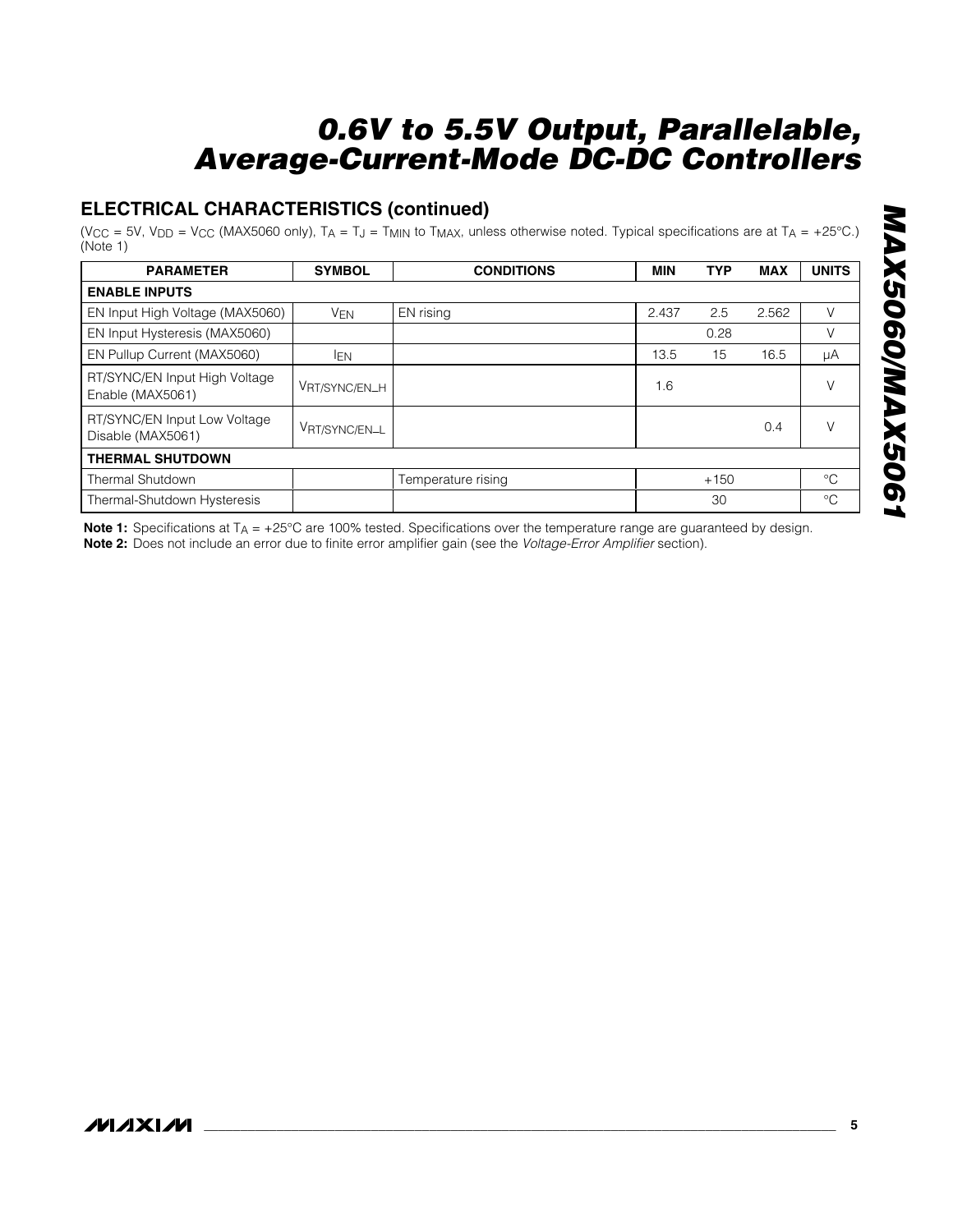## **ELECTRICAL CHARACTERISTICS (continued)**

(V<sub>CC</sub> = 5V, V<sub>DD</sub> = V<sub>CC</sub> (MAX5060 only), T<sub>A</sub> = T<sub>J</sub> = T<sub>MIN</sub> to T<sub>MAX</sub>, unless otherwise noted. Typical specifications are at T<sub>A</sub> = +25°C.) (Note 1)

| <b>PARAMETER</b>                                  | <b>SYMBOL</b> | <b>CONDITIONS</b>  | <b>MIN</b> | <b>TYP</b> | <b>MAX</b> | <b>UNITS</b> |
|---------------------------------------------------|---------------|--------------------|------------|------------|------------|--------------|
| <b>ENABLE INPUTS</b>                              |               |                    |            |            |            |              |
| EN Input High Voltage (MAX5060)                   | <b>VEN</b>    | EN rising          | 2.437      | 2.5        | 2.562      |              |
| EN Input Hysteresis (MAX5060)                     |               |                    |            | 0.28       |            | V            |
| EN Pullup Current (MAX5060)                       | <b>IEN</b>    |                    | 13.5       | 15         | 16.5       | μA           |
| RT/SYNC/EN Input High Voltage<br>Enable (MAX5061) | VRT/SYNC/EN_H |                    | 1.6        |            |            |              |
| RT/SYNC/EN Input Low Voltage<br>Disable (MAX5061) | VRT/SYNC/EN_L |                    |            |            | 0.4        |              |
| <b>THERMAL SHUTDOWN</b>                           |               |                    |            |            |            |              |
| Thermal Shutdown                                  |               | Temperature rising |            | $+150$     |            | $^{\circ}C$  |
| Thermal-Shutdown Hysteresis                       |               |                    |            | 30         |            | $^{\circ}C$  |

**Note 1:** Specifications at T<sub>A</sub> = +25°C are 100% tested. Specifications over the temperature range are guaranteed by design. **Note 2:** Does not include an error due to finite error amplifier gain (see the *Voltage-Error Amplifier* section).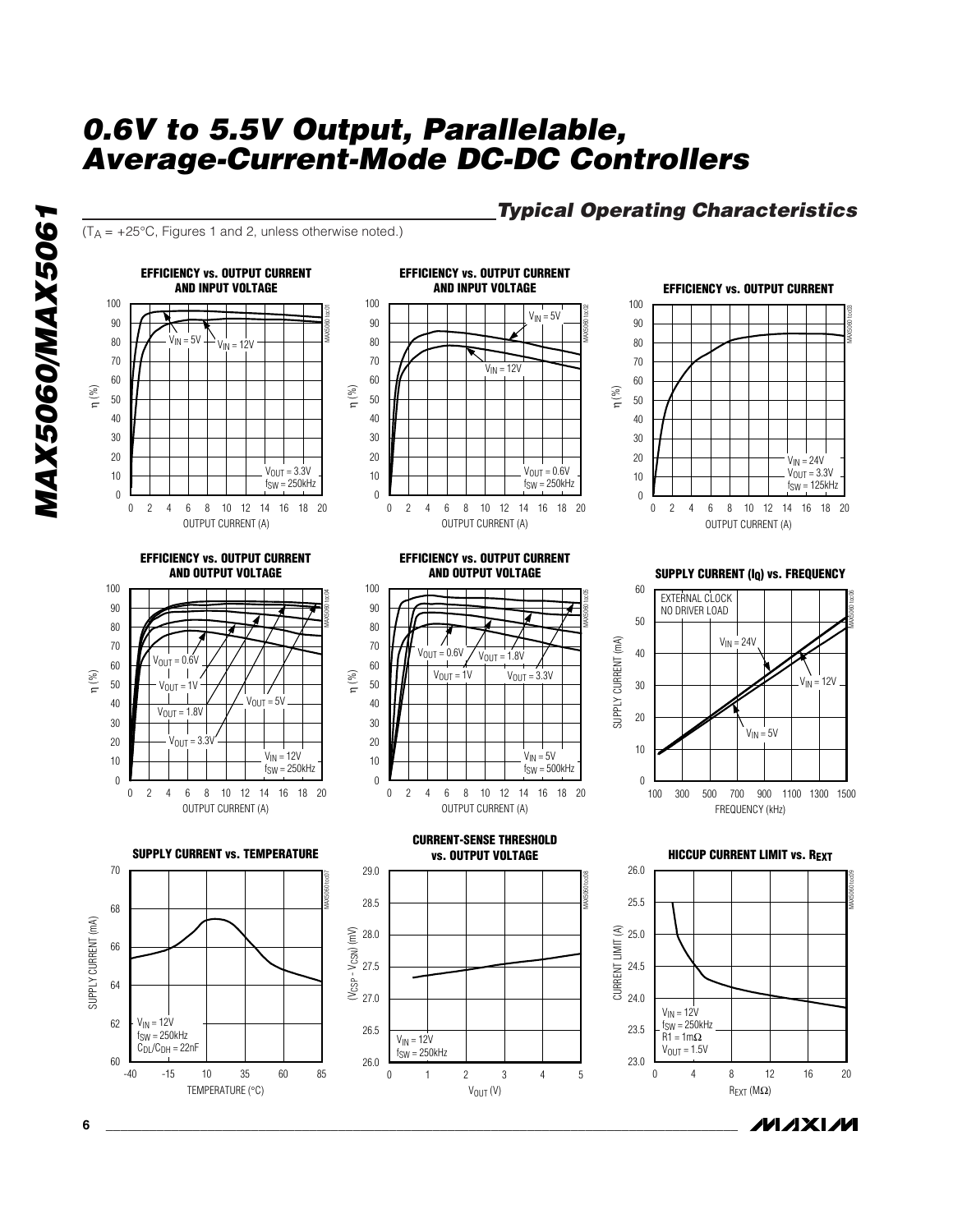*Typical Operating Characteristics*

 $(T_A = +25^{\circ}C,$  Figures 1 and 2, unless otherwise noted.)



#### **6 \_\_\_\_\_\_\_\_\_\_\_\_\_\_\_\_\_\_\_\_\_\_\_\_\_\_\_\_\_\_\_\_\_\_\_\_\_\_\_\_\_\_\_\_\_\_\_\_\_\_\_\_\_\_\_\_\_\_\_\_\_\_\_\_\_\_\_\_\_\_\_\_\_\_\_\_\_\_\_\_\_\_\_\_\_\_\_**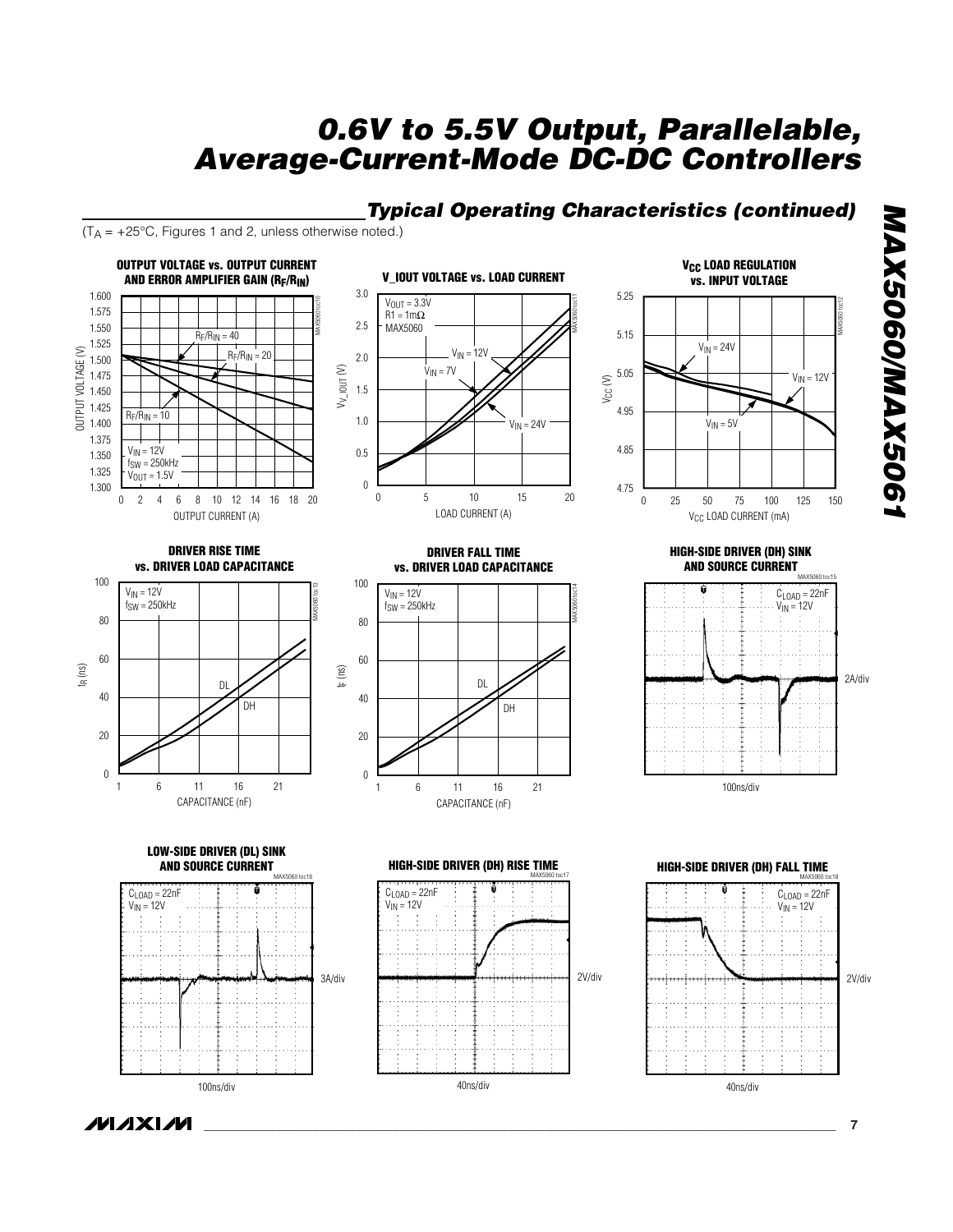## *Typical Operating Characteristics (continued)*

5.25

MAX5060 toc11

 $(T_A = +25^{\circ}C,$  Figures 1 and 2, unless otherwise noted.)





**V<sub>CC</sub> LOAD REGULATION vs. INPUT VOLTAGE**

*MAX5060/MAX5061*

MAX5060/MAX5061





**HIGH-SIDE DRIVER (DH) SINK AND SOURCE CURRENT** 



100ns/div

**HIGH-SIDE DRIVER (DH) FALL TIME** 2V/div 40ns/div  $C<sub>LOAD</sub> = 22nF$  $V_{IN} = 12V$ 

**LOW-SIDE DRIVER (DL) SINK AND SOURCE CURRENT** 







## **MAXIM**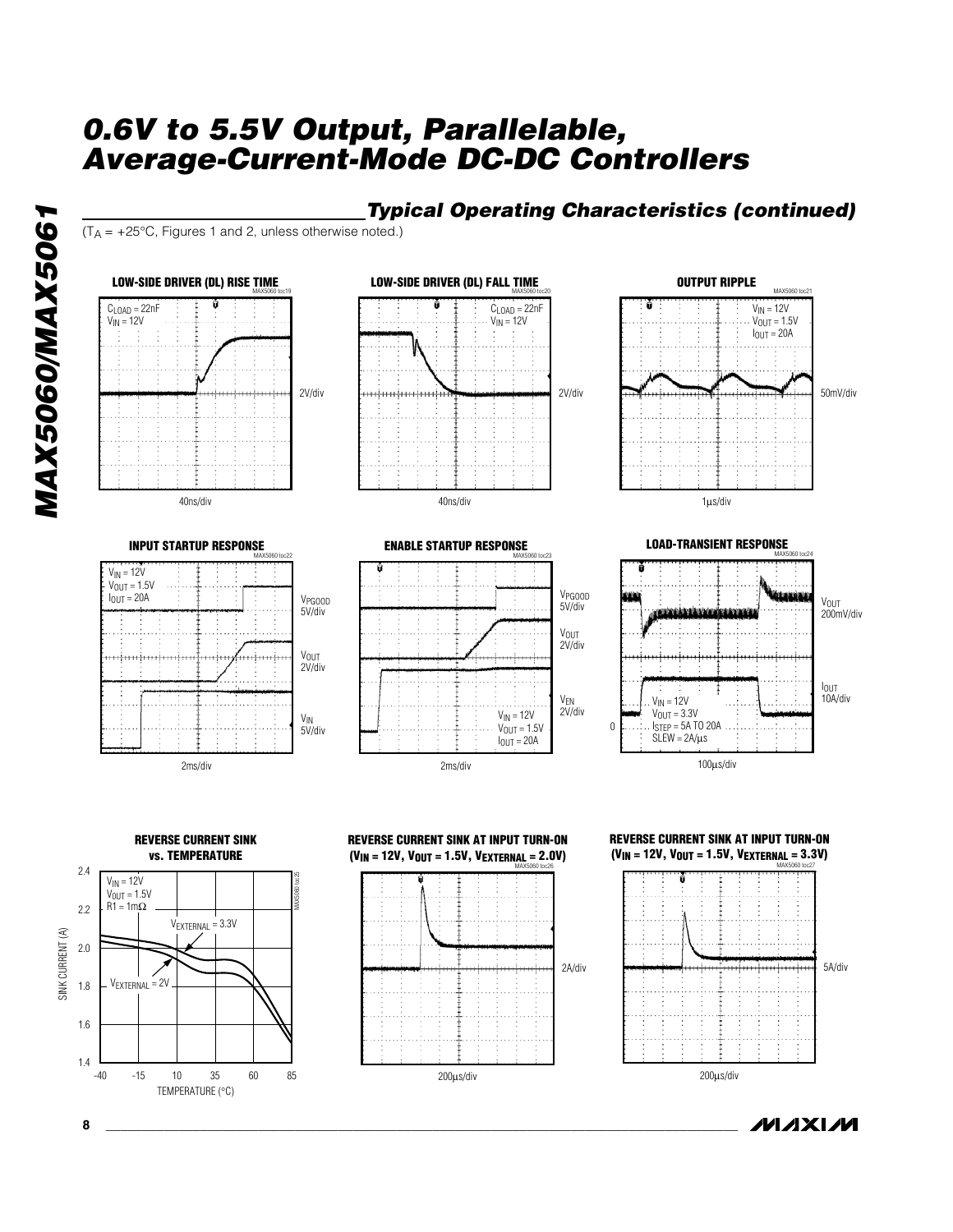# *MAX5060/MAX5061* MAX5060/MAX5061



 $(T_A = +25^{\circ}C,$  Figures 1 and 2, unless otherwise noted.)





*Typical Operating Characteristics (continued)*





**LOAD-TRANSIENT RESPONSE** وتخلقته V<sub>OUT</sub><br>200mV/div a aktristi ataleki sama IOUT 10A/div  $V_{IN} = 12V$  $V_{OUT} = 3.3V$ 0  $I<sub>STEP</sub> = 5A TO 20A$  $SLEW = 2A/\mu s$ 100µs/div





**8 \_\_\_\_\_\_\_\_\_\_\_\_\_\_\_\_\_\_\_\_\_\_\_\_\_\_\_\_\_\_\_\_\_\_\_\_\_\_\_\_\_\_\_\_\_\_\_\_\_\_\_\_\_\_\_\_\_\_\_\_\_\_\_\_\_\_\_\_\_\_\_\_\_\_\_\_\_\_\_\_\_\_\_\_\_\_\_**



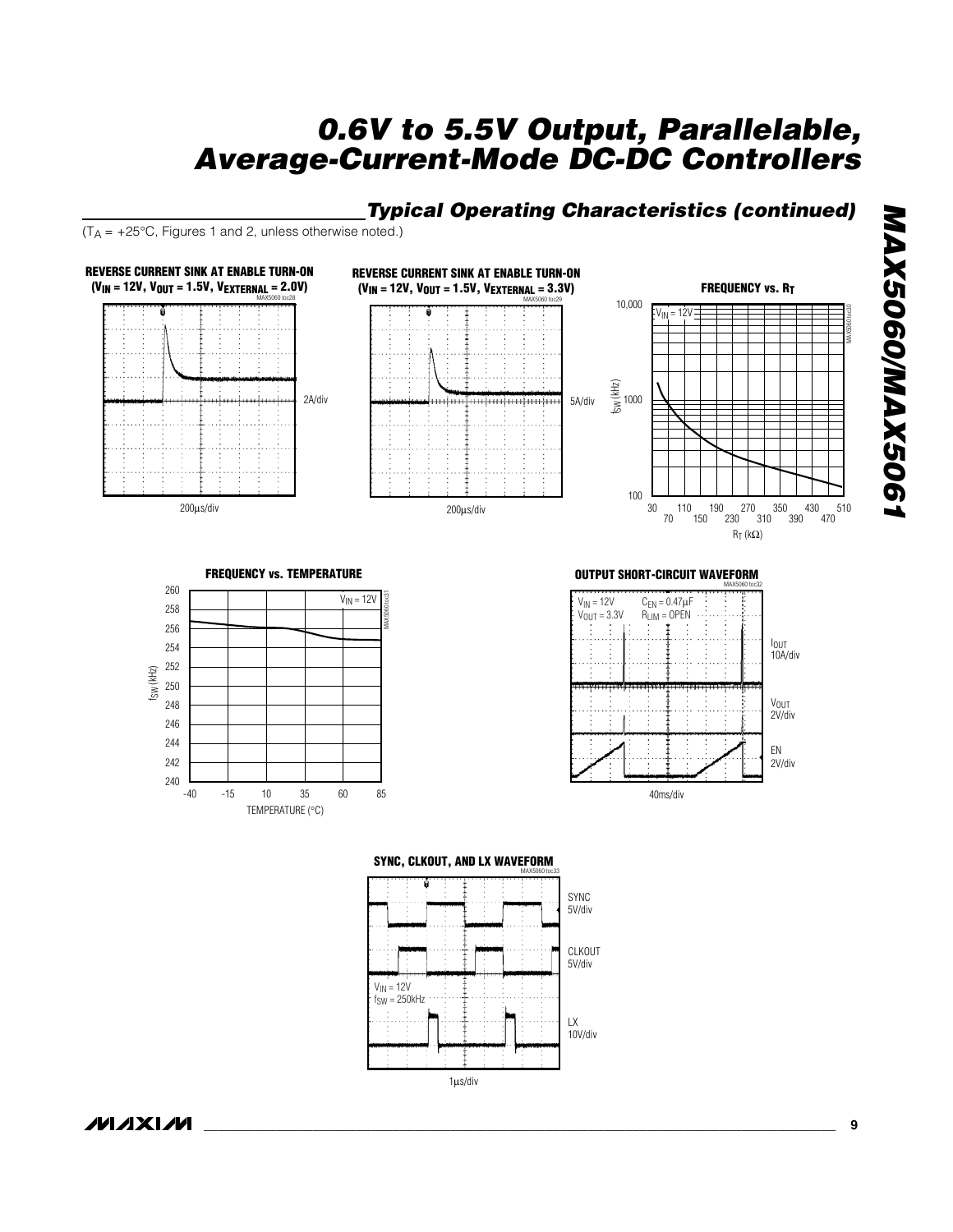## *Typical Operating Characteristics (continued)*

 $(T_A = +25^{\circ}C,$  Figures 1 and 2, unless otherwise noted.)



1µs/div

MAX5060/MAX5061 *MAX5060/MAX5061*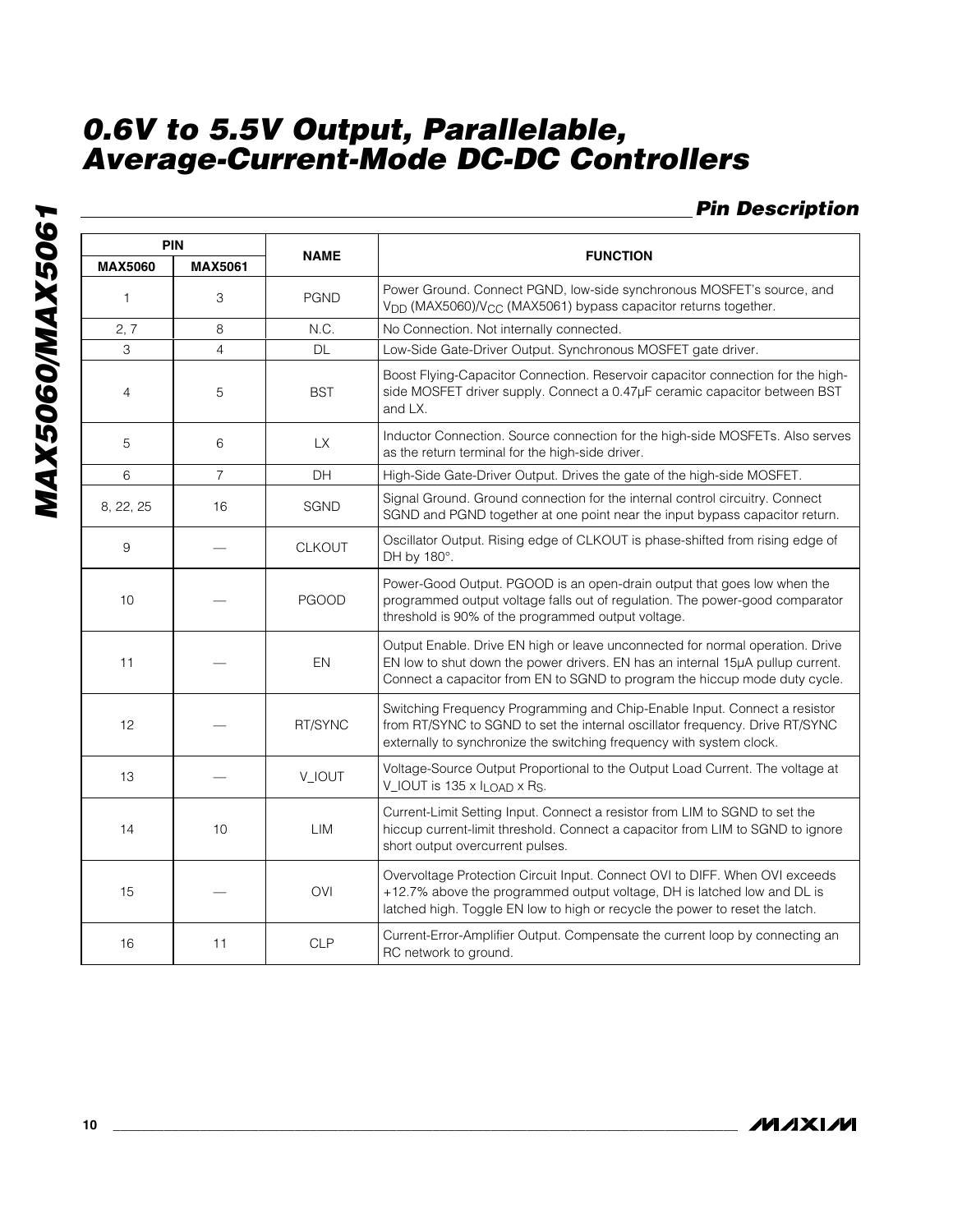## *Pin Description*

|                | <b>PIN</b>        |              |                                                                                                                                                                                                                                               |  |  |  |  |  |  |  |
|----------------|-------------------|--------------|-----------------------------------------------------------------------------------------------------------------------------------------------------------------------------------------------------------------------------------------------|--|--|--|--|--|--|--|
| <b>MAX5060</b> | <b>MAX5061</b>    | <b>NAME</b>  | <b>FUNCTION</b>                                                                                                                                                                                                                               |  |  |  |  |  |  |  |
| $\mathbf{1}$   | 3                 | <b>PGND</b>  | Power Ground. Connect PGND, low-side synchronous MOSFET's source, and<br>V <sub>DD</sub> (MAX5060)/V <sub>CC</sub> (MAX5061) bypass capacitor returns together.                                                                               |  |  |  |  |  |  |  |
| 2, 7           | 8                 | N.C.         | No Connection. Not internally connected.                                                                                                                                                                                                      |  |  |  |  |  |  |  |
| 3              | $\overline{4}$    | <b>DL</b>    | Low-Side Gate-Driver Output. Synchronous MOSFET gate driver.                                                                                                                                                                                  |  |  |  |  |  |  |  |
| $\overline{4}$ | 5                 | <b>BST</b>   | Boost Flying-Capacitor Connection. Reservoir capacitor connection for the high-<br>side MOSFET driver supply. Connect a 0.47µF ceramic capacitor between BST<br>and LX.                                                                       |  |  |  |  |  |  |  |
| 5              | 6                 | <b>LX</b>    | Inductor Connection. Source connection for the high-side MOSFETs. Also serves<br>as the return terminal for the high-side driver.                                                                                                             |  |  |  |  |  |  |  |
| 6              | $\overline{7}$    | DH           | High-Side Gate-Driver Output. Drives the gate of the high-side MOSFET.                                                                                                                                                                        |  |  |  |  |  |  |  |
| 8, 22, 25      | 16<br><b>SGND</b> |              | Signal Ground. Ground connection for the internal control circuitry. Connect<br>SGND and PGND together at one point near the input bypass capacitor return.                                                                                   |  |  |  |  |  |  |  |
| 9              | <b>CLKOUT</b>     |              | Oscillator Output. Rising edge of CLKOUT is phase-shifted from rising edge of<br>DH by 180°.                                                                                                                                                  |  |  |  |  |  |  |  |
| 10             |                   | <b>PGOOD</b> | Power-Good Output. PGOOD is an open-drain output that goes low when the<br>programmed output voltage falls out of regulation. The power-good comparator<br>threshold is 90% of the programmed output voltage.                                 |  |  |  |  |  |  |  |
| 11             |                   | EN           | Output Enable. Drive EN high or leave unconnected for normal operation. Drive<br>EN low to shut down the power drivers. EN has an internal 15µA pullup current.<br>Connect a capacitor from EN to SGND to program the hiccup mode duty cycle. |  |  |  |  |  |  |  |
| 12             |                   | RT/SYNC      | Switching Frequency Programming and Chip-Enable Input. Connect a resistor<br>from RT/SYNC to SGND to set the internal oscillator frequency. Drive RT/SYNC<br>externally to synchronize the switching frequency with system clock.             |  |  |  |  |  |  |  |
| 13             |                   | V_IOUT       | Voltage-Source Output Proportional to the Output Load Current. The voltage at<br>V_IOUT is 135 x I <sub>LOAD</sub> x R <sub>S</sub> .                                                                                                         |  |  |  |  |  |  |  |
| 14             | 10                | LIM          | Current-Limit Setting Input. Connect a resistor from LIM to SGND to set the<br>hiccup current-limit threshold. Connect a capacitor from LIM to SGND to ignore<br>short output overcurrent pulses.                                             |  |  |  |  |  |  |  |
| 15             |                   | <b>OVI</b>   | Overvoltage Protection Circuit Input. Connect OVI to DIFF. When OVI exceeds<br>+12.7% above the programmed output voltage, DH is latched low and DL is<br>latched high. Toggle EN low to high or recycle the power to reset the latch.        |  |  |  |  |  |  |  |
| 16             | 11                | <b>CLP</b>   | Current-Error-Amplifier Output. Compensate the current loop by connecting an<br>RC network to ground.                                                                                                                                         |  |  |  |  |  |  |  |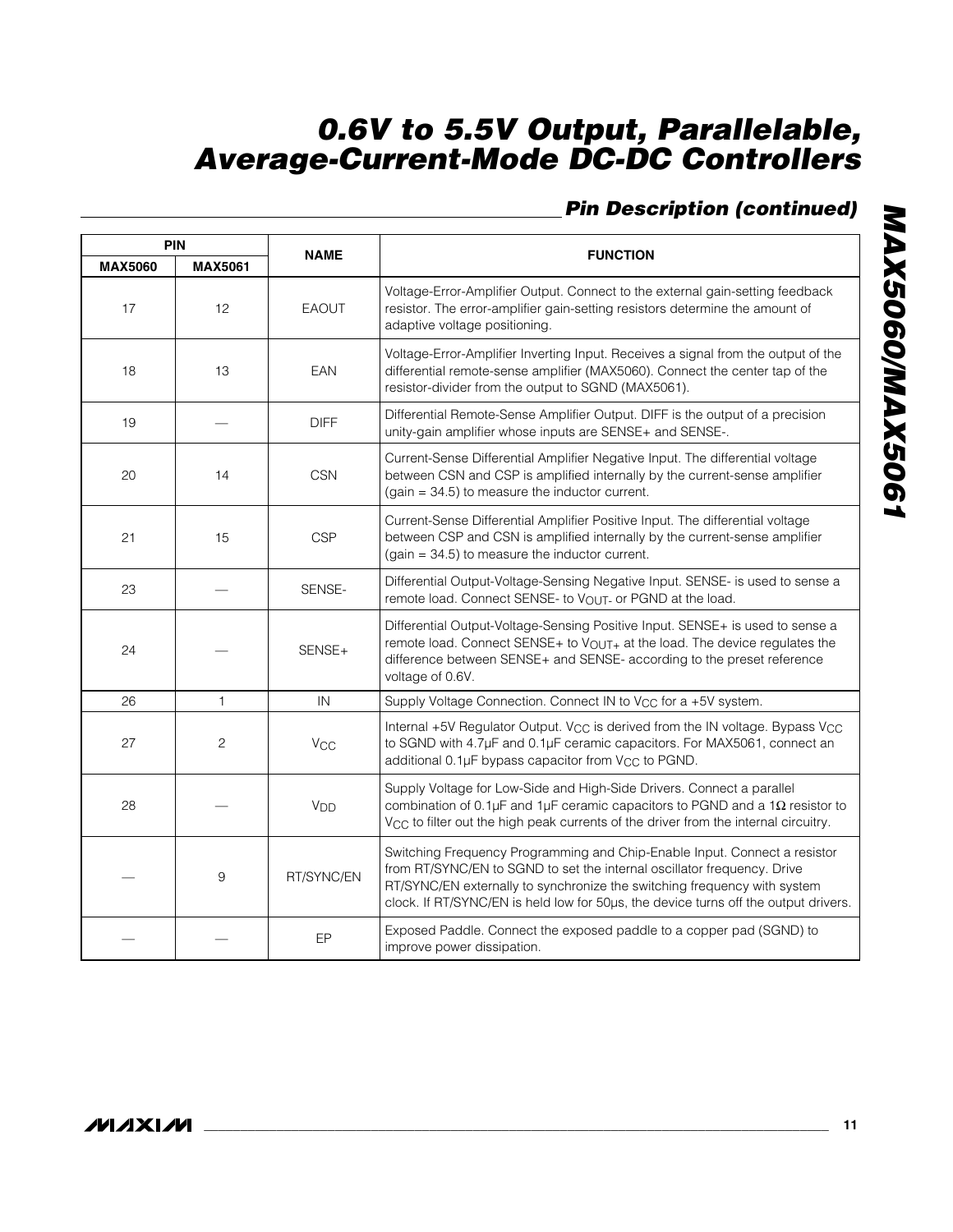## *Pin Description (continued)*

|                | <b>PIN</b>     |                 |                                                                                                                                                                                                                                                                                                                         |
|----------------|----------------|-----------------|-------------------------------------------------------------------------------------------------------------------------------------------------------------------------------------------------------------------------------------------------------------------------------------------------------------------------|
| <b>MAX5060</b> | <b>MAX5061</b> | <b>NAME</b>     | <b>FUNCTION</b>                                                                                                                                                                                                                                                                                                         |
| 17             | 12             | <b>EAOUT</b>    | Voltage-Error-Amplifier Output. Connect to the external gain-setting feedback<br>resistor. The error-amplifier gain-setting resistors determine the amount of<br>adaptive voltage positioning.                                                                                                                          |
| 18             | 13             | EAN             | Voltage-Error-Amplifier Inverting Input. Receives a signal from the output of the<br>differential remote-sense amplifier (MAX5060). Connect the center tap of the<br>resistor-divider from the output to SGND (MAX5061).                                                                                                |
| 19             |                | <b>DIFF</b>     | Differential Remote-Sense Amplifier Output. DIFF is the output of a precision<br>unity-gain amplifier whose inputs are SENSE+ and SENSE-.                                                                                                                                                                               |
| 20             | 14             | <b>CSN</b>      | Current-Sense Differential Amplifier Negative Input. The differential voltage<br>between CSN and CSP is amplified internally by the current-sense amplifier<br>$(gain = 34.5)$ to measure the inductor current.                                                                                                         |
| 21             | 15             | <b>CSP</b>      | Current-Sense Differential Amplifier Positive Input. The differential voltage<br>between CSP and CSN is amplified internally by the current-sense amplifier<br>$(gain = 34.5)$ to measure the inductor current.                                                                                                         |
| 23             | SENSE-         |                 | Differential Output-Voltage-Sensing Negative Input. SENSE- is used to sense a<br>remote load. Connect SENSE- to VOUT- or PGND at the load.                                                                                                                                                                              |
| 24             |                | SENSE+          | Differential Output-Voltage-Sensing Positive Input. SENSE+ is used to sense a<br>remote load. Connect SENSE+ to VOUT+ at the load. The device regulates the<br>difference between SENSE+ and SENSE- according to the preset reference<br>voltage of 0.6V.                                                               |
| 26             | $\mathbf{1}$   | IN              | Supply Voltage Connection. Connect IN to V <sub>CC</sub> for a +5V system.                                                                                                                                                                                                                                              |
| 27             | $\overline{2}$ | $V_{CC}$        | Internal +5V Regulator Output. V <sub>CC</sub> is derived from the IN voltage. Bypass V <sub>CC</sub><br>to SGND with 4.7µF and 0.1µF ceramic capacitors. For MAX5061, connect an<br>additional 0.1µF bypass capacitor from V <sub>CC</sub> to PGND.                                                                    |
| 28             |                | V <sub>DD</sub> | Supply Voltage for Low-Side and High-Side Drivers. Connect a parallel<br>combination of 0.1 $\mu$ F and 1 $\mu$ F ceramic capacitors to PGND and a 1 $\Omega$ resistor to<br>V <sub>CC</sub> to filter out the high peak currents of the driver from the internal circuitry.                                            |
|                | 9              | RT/SYNC/EN      | Switching Frequency Programming and Chip-Enable Input. Connect a resistor<br>from RT/SYNC/EN to SGND to set the internal oscillator frequency. Drive<br>RT/SYNC/EN externally to synchronize the switching frequency with system<br>clock. If RT/SYNC/EN is held low for 50µs, the device turns off the output drivers. |
|                |                | EP              | Exposed Paddle. Connect the exposed paddle to a copper pad (SGND) to<br>improve power dissipation.                                                                                                                                                                                                                      |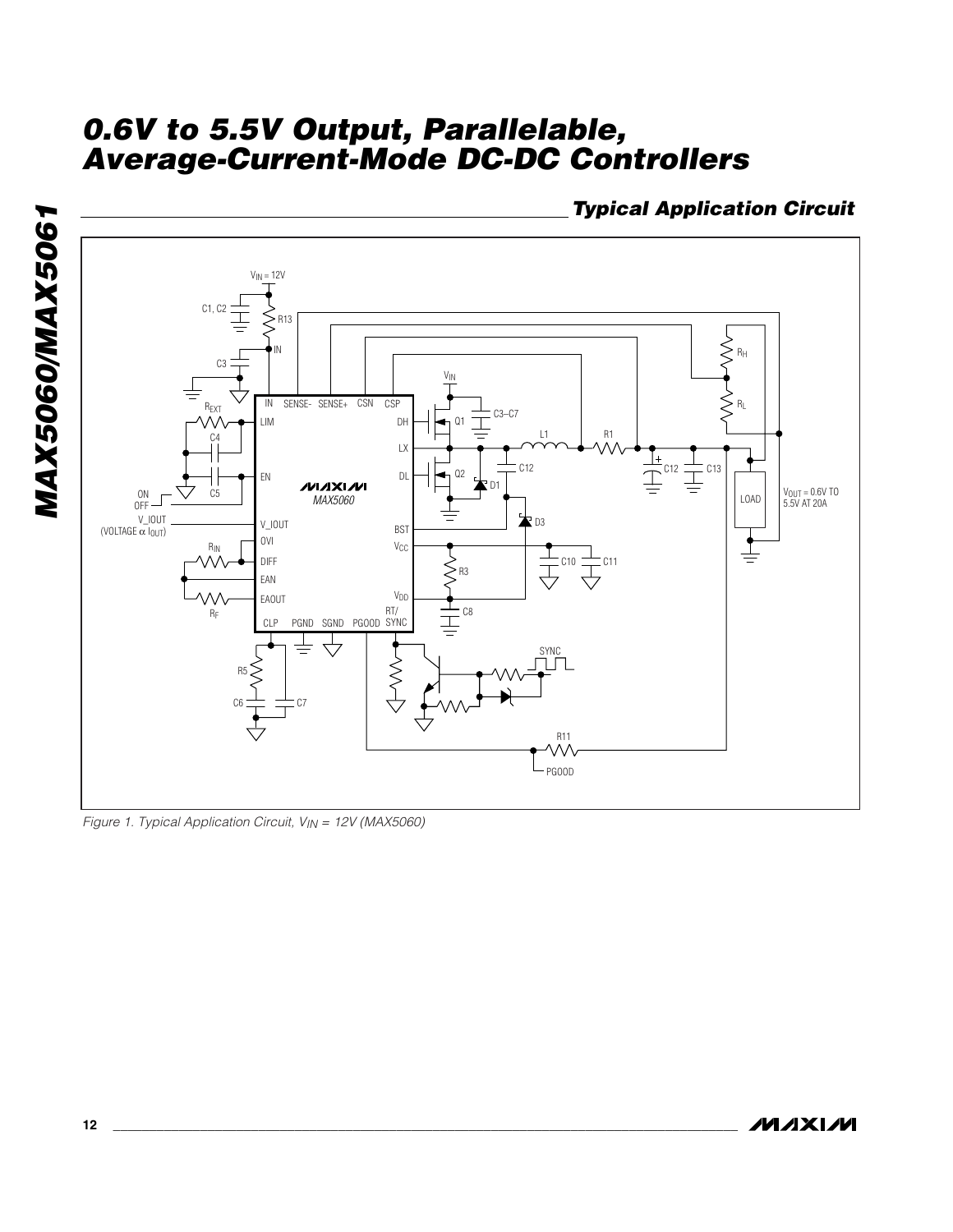*Typical Application Circuit*



*Figure 1. Typical Application Circuit, VIN = 12V (MAX5060)*

*MAX5060/MAX5061*

MAX5060/MAX5061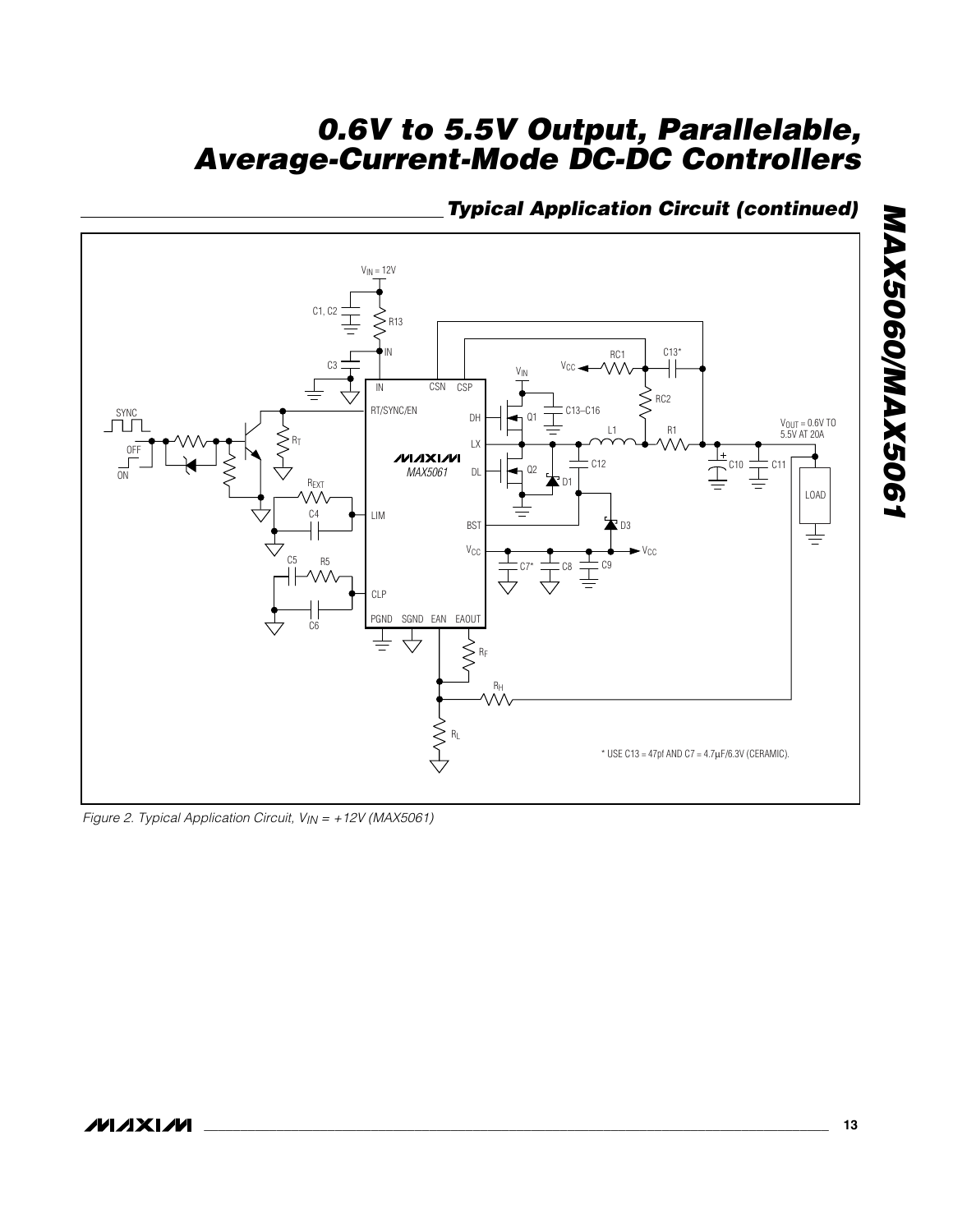## *Typical Application Circuit (continued)*



*Figure 2. Typical Application Circuit, VIN = +12V (MAX5061)*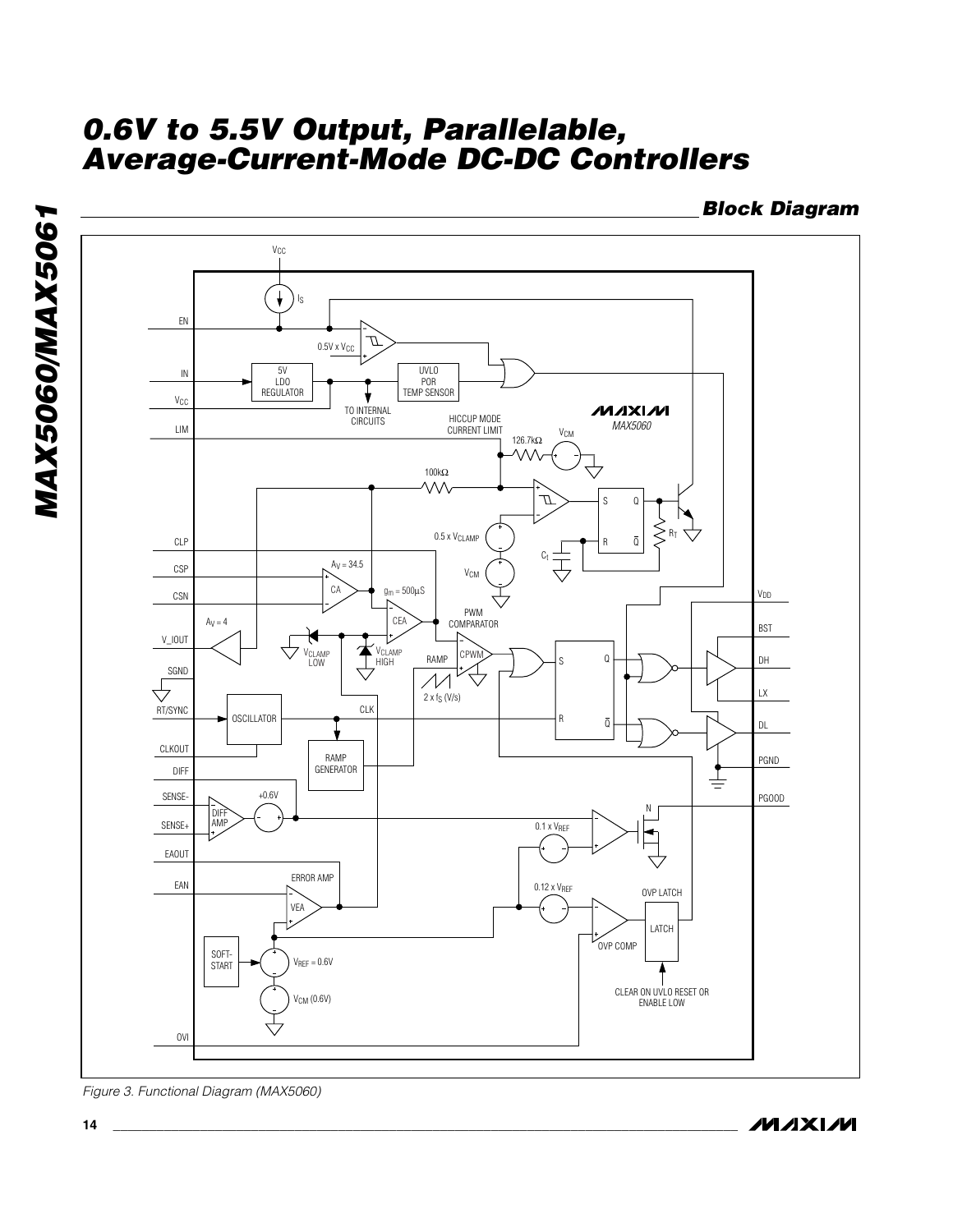*Block Diagram*



*Figure 3. Functional Diagram (MAX5060)*

**MAXM** 

*MAX5060/MAX5061*

**MAX5060/MAX5061**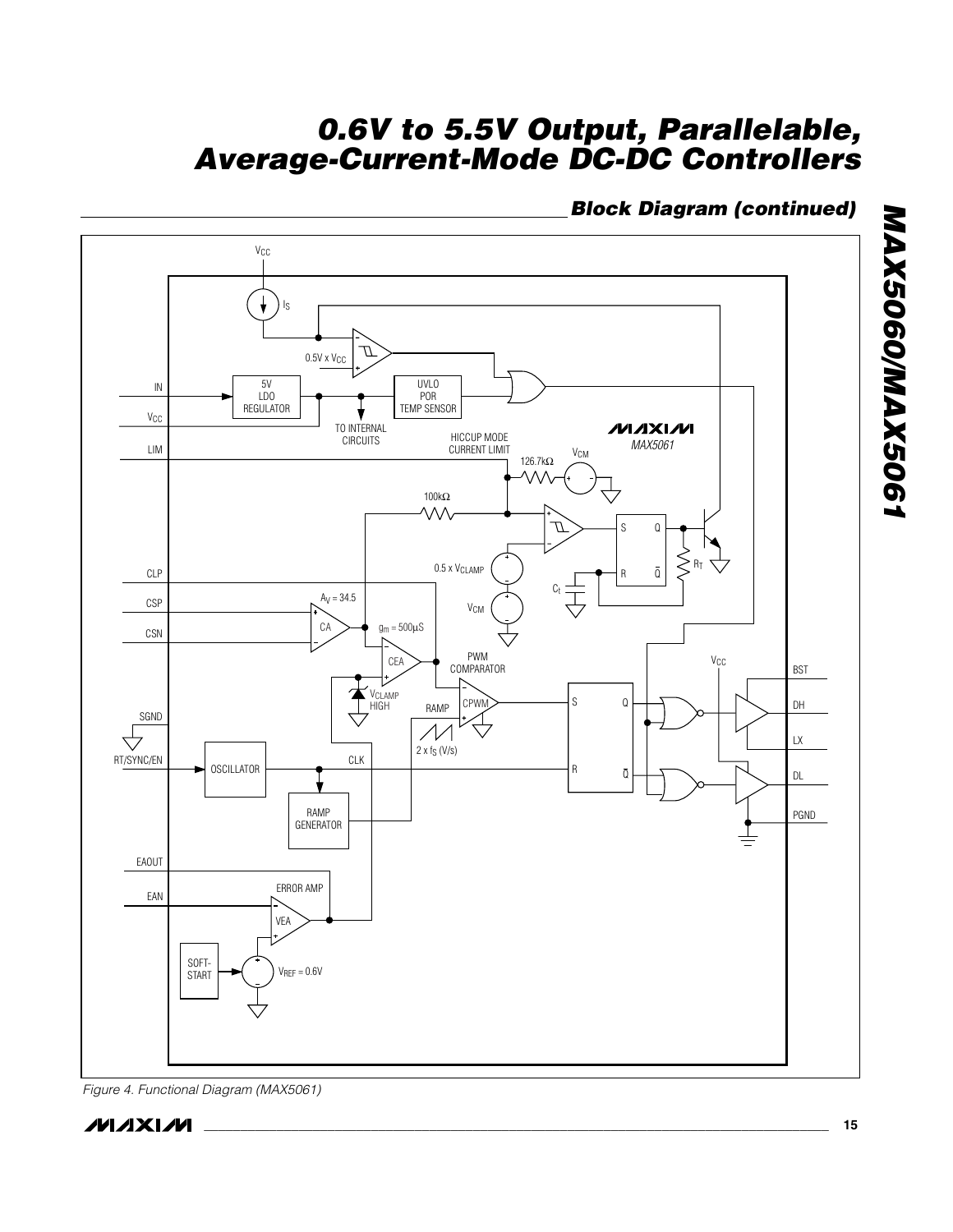## *Block Diagram (continued)*



*MAX5060/MAX5061*

**MAX5060/MAX5061**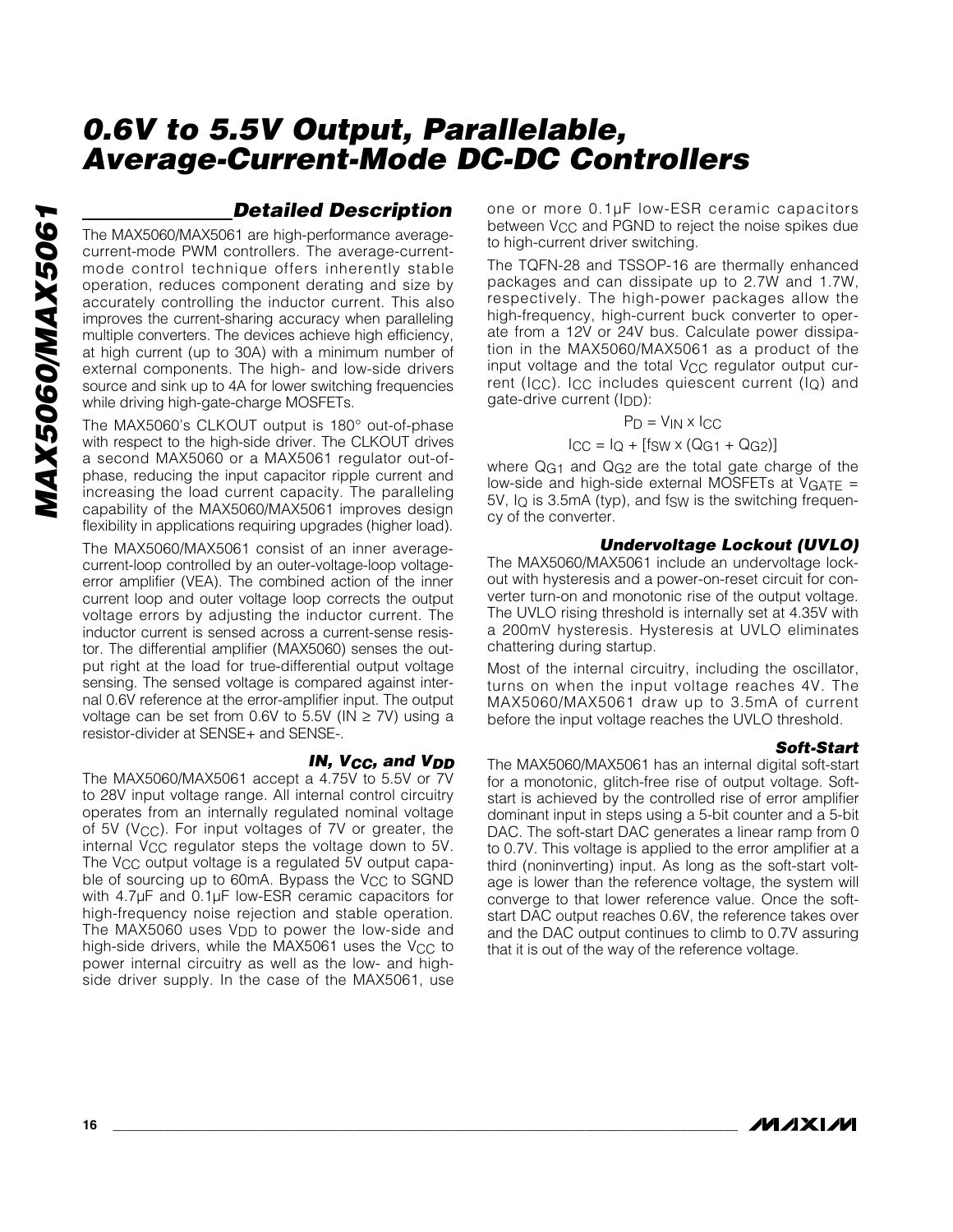## *Detailed Description*

The MAX5060/MAX5061 are high-performance averagecurrent-mode PWM controllers. The average-currentmode control technique offers inherently stable operation, reduces component derating and size by accurately controlling the inductor current. This also improves the current-sharing accuracy when paralleling multiple converters. The devices achieve high efficiency, at high current (up to 30A) with a minimum number of external components. The high- and low-side drivers source and sink up to 4A for lower switching frequencies while driving high-gate-charge MOSFETs.

The MAX5060's CLKOUT output is 180° out-of-phase with respect to the high-side driver. The CLKOUT drives a second MAX5060 or a MAX5061 regulator out-ofphase, reducing the input capacitor ripple current and increasing the load current capacity. The paralleling capability of the MAX5060/MAX5061 improves design flexibility in applications requiring upgrades (higher load).

The MAX5060/MAX5061 consist of an inner averagecurrent-loop controlled by an outer-voltage-loop voltageerror amplifier (VEA). The combined action of the inner current loop and outer voltage loop corrects the output voltage errors by adjusting the inductor current. The inductor current is sensed across a current-sense resistor. The differential amplifier (MAX5060) senses the output right at the load for true-differential output voltage sensing. The sensed voltage is compared against internal 0.6V reference at the error-amplifier input. The output voltage can be set from 0.6V to 5.5V ( $IN \ge 7V$ ) using a resistor-divider at SENSE+ and SENSE-.

#### *IN, VCC, and VDD*

The MAX5060/MAX5061 accept a 4.75V to 5.5V or 7V to 28V input voltage range. All internal control circuitry operates from an internally regulated nominal voltage of 5V (VCC). For input voltages of 7V or greater, the internal VCC regulator steps the voltage down to 5V. The V<sub>CC</sub> output voltage is a regulated 5V output capable of sourcing up to 60mA. Bypass the V<sub>CC</sub> to SGND with 4.7µF and 0.1µF low-ESR ceramic capacitors for high-frequency noise rejection and stable operation. The MAX5060 uses V<sub>DD</sub> to power the low-side and high-side drivers, while the MAX5061 uses the V<sub>CC</sub> to power internal circuitry as well as the low- and highside driver supply. In the case of the MAX5061, use one or more 0.1µF low-ESR ceramic capacitors between V<sub>CC</sub> and PGND to reject the noise spikes due to high-current driver switching.

The TQFN-28 and TSSOP-16 are thermally enhanced packages and can dissipate up to 2.7W and 1.7W, respectively. The high-power packages allow the high-frequency, high-current buck converter to operate from a 12V or 24V bus. Calculate power dissipation in the MAX5060/MAX5061 as a product of the input voltage and the total V<sub>CC</sub> regulator output current (I<sub>CC</sub>). I<sub>CC</sub> includes quiescent current (I<sub>Q</sub>) and gate-drive current (IDD):

$$
P_D = V_{IN} \times I_{CC}
$$

$$
I_{\rm CC} = I_Q + [f_{\rm SW} \times (Q_{\rm G1} + Q_{\rm G2})]
$$

where Q<sub>G1</sub> and Q<sub>G2</sub> are the total gate charge of the low-side and high-side external MOSFETs at  $VGATE =$  $5V$ ,  $I_Q$  is 3.5mA (typ), and fsw is the switching frequency of the converter.

#### *Undervoltage Lockout (UVLO)*

The MAX5060/MAX5061 include an undervoltage lockout with hysteresis and a power-on-reset circuit for converter turn-on and monotonic rise of the output voltage. The UVLO rising threshold is internally set at 4.35V with a 200mV hysteresis. Hysteresis at UVLO eliminates chattering during startup.

Most of the internal circuitry, including the oscillator, turns on when the input voltage reaches 4V. The MAX5060/MAX5061 draw up to 3.5mA of current before the input voltage reaches the UVLO threshold.

#### *Soft-Start*

The MAX5060/MAX5061 has an internal digital soft-start for a monotonic, glitch-free rise of output voltage. Softstart is achieved by the controlled rise of error amplifier dominant input in steps using a 5-bit counter and a 5-bit DAC. The soft-start DAC generates a linear ramp from 0 to 0.7V. This voltage is applied to the error amplifier at a third (noninverting) input. As long as the soft-start voltage is lower than the reference voltage, the system will converge to that lower reference value. Once the softstart DAC output reaches 0.6V, the reference takes over and the DAC output continues to climb to 0.7V assuring that it is out of the way of the reference voltage.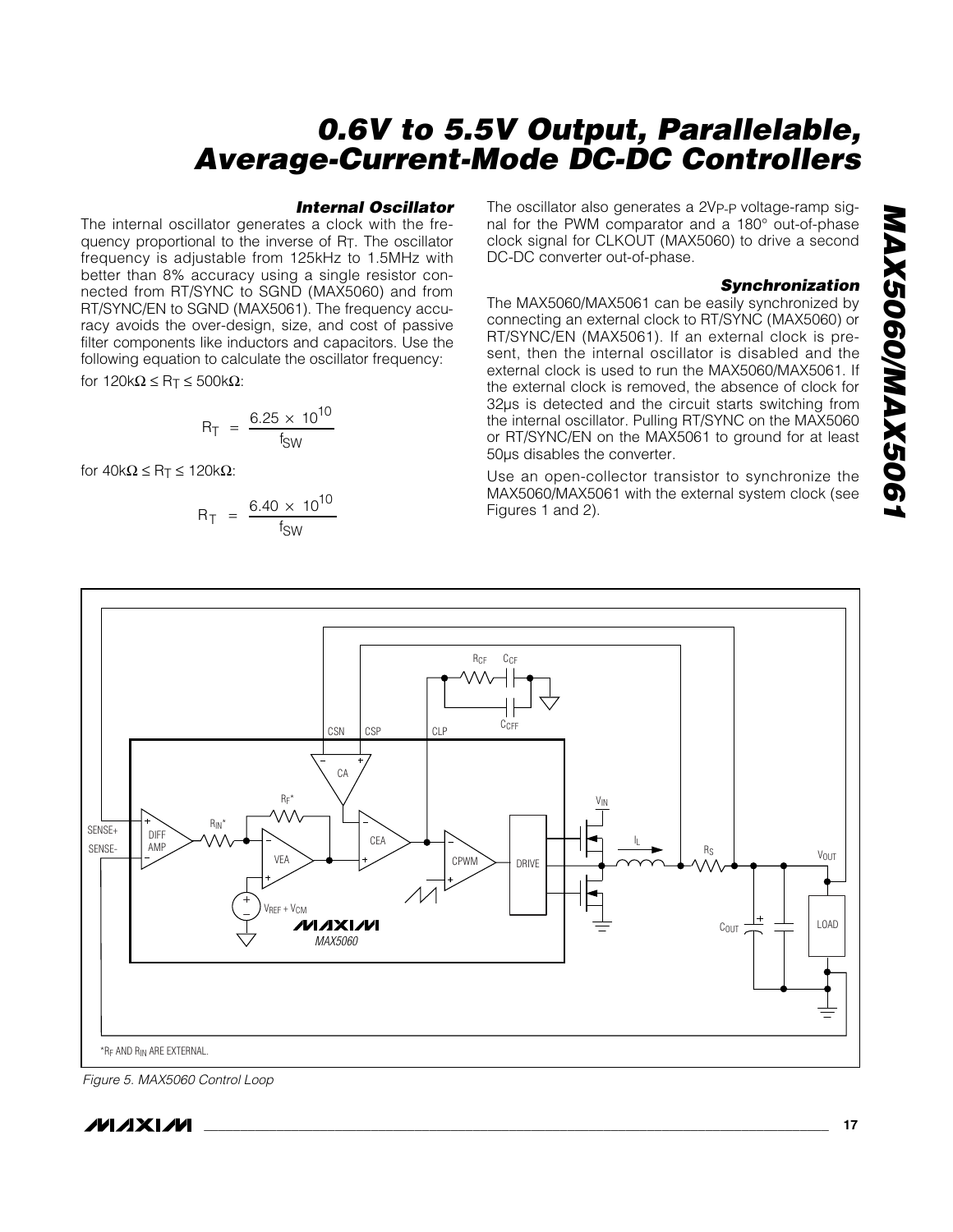#### *Internal Oscillator*

The internal oscillator generates a clock with the frequency proportional to the inverse of RT. The oscillator frequency is adjustable from 125kHz to 1.5MHz with better than 8% accuracy using a single resistor connected from RT/SYNC to SGND (MAX5060) and from RT/SYNC/EN to SGND (MAX5061). The frequency accuracy avoids the over-design, size, and cost of passive filter components like inductors and capacitors. Use the following equation to calculate the oscillator frequency:

for  $120k\Omega \leq R_T \leq 500k\Omega$ :

$$
R_T = \frac{6.25 \times 10^{10}}{f_{SW}}
$$

for  $40k\Omega \leq R_T \leq 120k\Omega$ :

$$
R_T = \frac{6.40 \times 10^{10}}{f_{SW}}
$$
 Figures 1 and 2).

The oscillator also generates a 2VP-P voltage-ramp signal for the PWM comparator and a 180° out-of-phase clock signal for CLKOUT (MAX5060) to drive a second DC-DC converter out-of-phase.

#### *Synchronization*

The MAX5060/MAX5061 can be easily synchronized by connecting an external clock to RT/SYNC (MAX5060) or RT/SYNC/EN (MAX5061). If an external clock is present, then the internal oscillator is disabled and the external clock is used to run the MAX5060/MAX5061. If the external clock is removed, the absence of clock for 32µs is detected and the circuit starts switching from the internal oscillator. Pulling RT/SYNC on the MAX5060 or RT/SYNC/EN on the MAX5061 to ground for at least 50µs disables the converter.

Use an open-collector transistor to synchronize the MAX5060/MAX5061 with the external system clock (see



*Figure 5. MAX5060 Control Loop*

$$
\boldsymbol{\mathcal{N}}\boldsymbol{\mathcal{N}}\boldsymbol{\mathcal{N}}
$$

**\_\_\_\_\_\_\_\_\_\_\_\_\_\_\_\_\_\_\_\_\_\_\_\_\_\_\_\_\_\_\_\_\_\_\_\_\_\_\_\_\_\_\_\_\_\_\_\_\_\_\_\_\_\_\_\_\_\_\_\_\_\_\_\_\_\_\_\_\_\_\_\_\_\_\_\_\_\_\_\_\_\_\_\_\_\_ 17**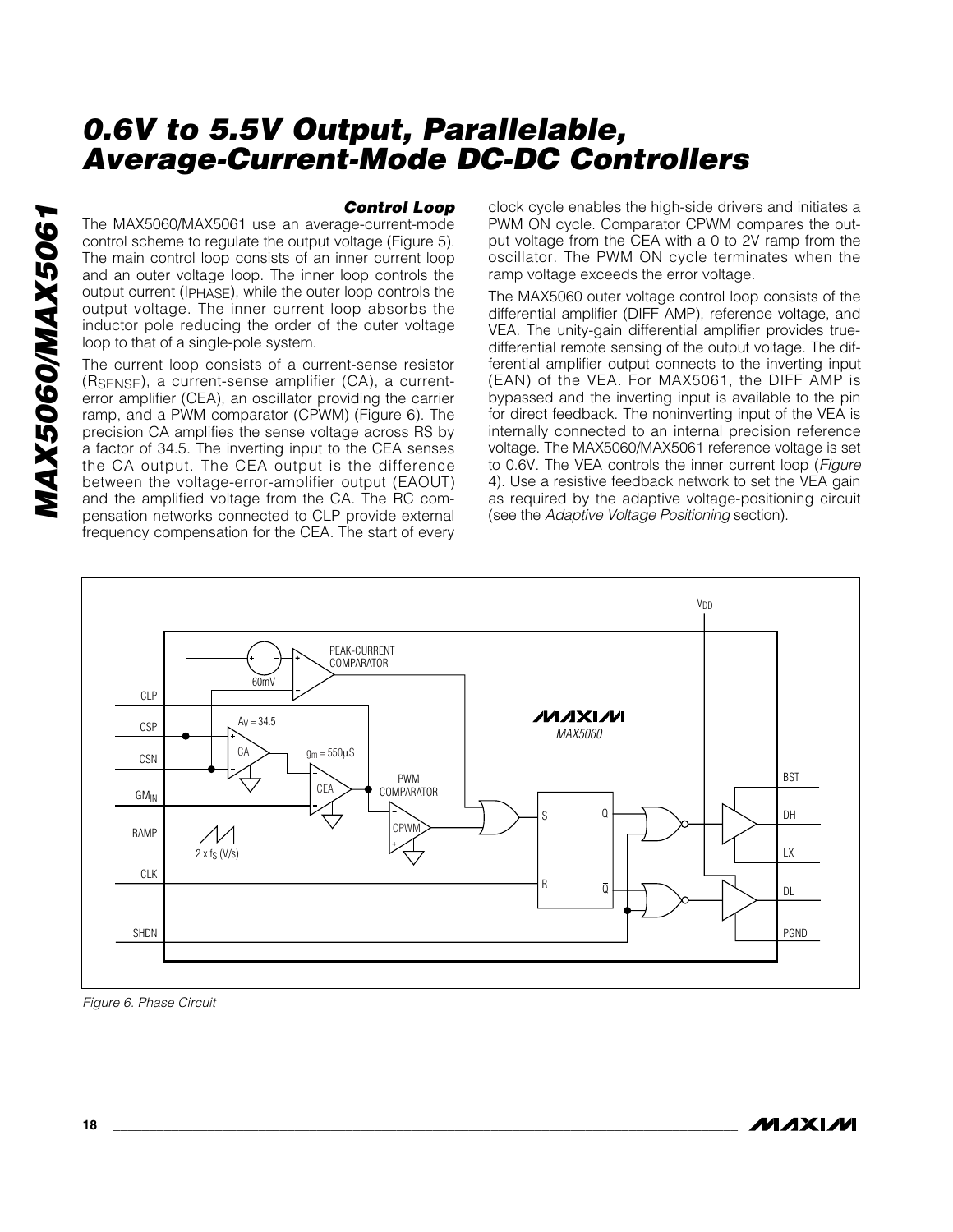### *Control Loop*

The MAX5060/MAX5061 use an average-current-mode control scheme to regulate the output voltage (Figure 5). The main control loop consists of an inner current loop and an outer voltage loop. The inner loop controls the output current (IPHASE), while the outer loop controls the output voltage. The inner current loop absorbs the inductor pole reducing the order of the outer voltage loop to that of a single-pole system.

The current loop consists of a current-sense resistor (RSENSE), a current-sense amplifier (CA), a currenterror amplifier (CEA), an oscillator providing the carrier ramp, and a PWM comparator (CPWM) (Figure 6). The precision CA amplifies the sense voltage across RS by a factor of 34.5. The inverting input to the CEA senses the CA output. The CEA output is the difference between the voltage-error-amplifier output (EAOUT) and the amplified voltage from the CA. The RC compensation networks connected to CLP provide external frequency compensation for the CEA. The start of every

clock cycle enables the high-side drivers and initiates a PWM ON cycle. Comparator CPWM compares the output voltage from the CEA with a 0 to 2V ramp from the oscillator. The PWM ON cycle terminates when the ramp voltage exceeds the error voltage.

The MAX5060 outer voltage control loop consists of the differential amplifier (DIFF AMP), reference voltage, and VEA. The unity-gain differential amplifier provides truedifferential remote sensing of the output voltage. The differential amplifier output connects to the inverting input (EAN) of the VEA. For MAX5061, the DIFF AMP is bypassed and the inverting input is available to the pin for direct feedback. The noninverting input of the VEA is internally connected to an internal precision reference voltage. The MAX5060/MAX5061 reference voltage is set to 0.6V. The VEA controls the inner current loop (*Figure* 4). Use a resistive feedback network to set the VEA gain as required by the adaptive voltage-positioning circuit (see the *Adaptive Voltage Positioning* section).



*Figure 6. Phase Circuit*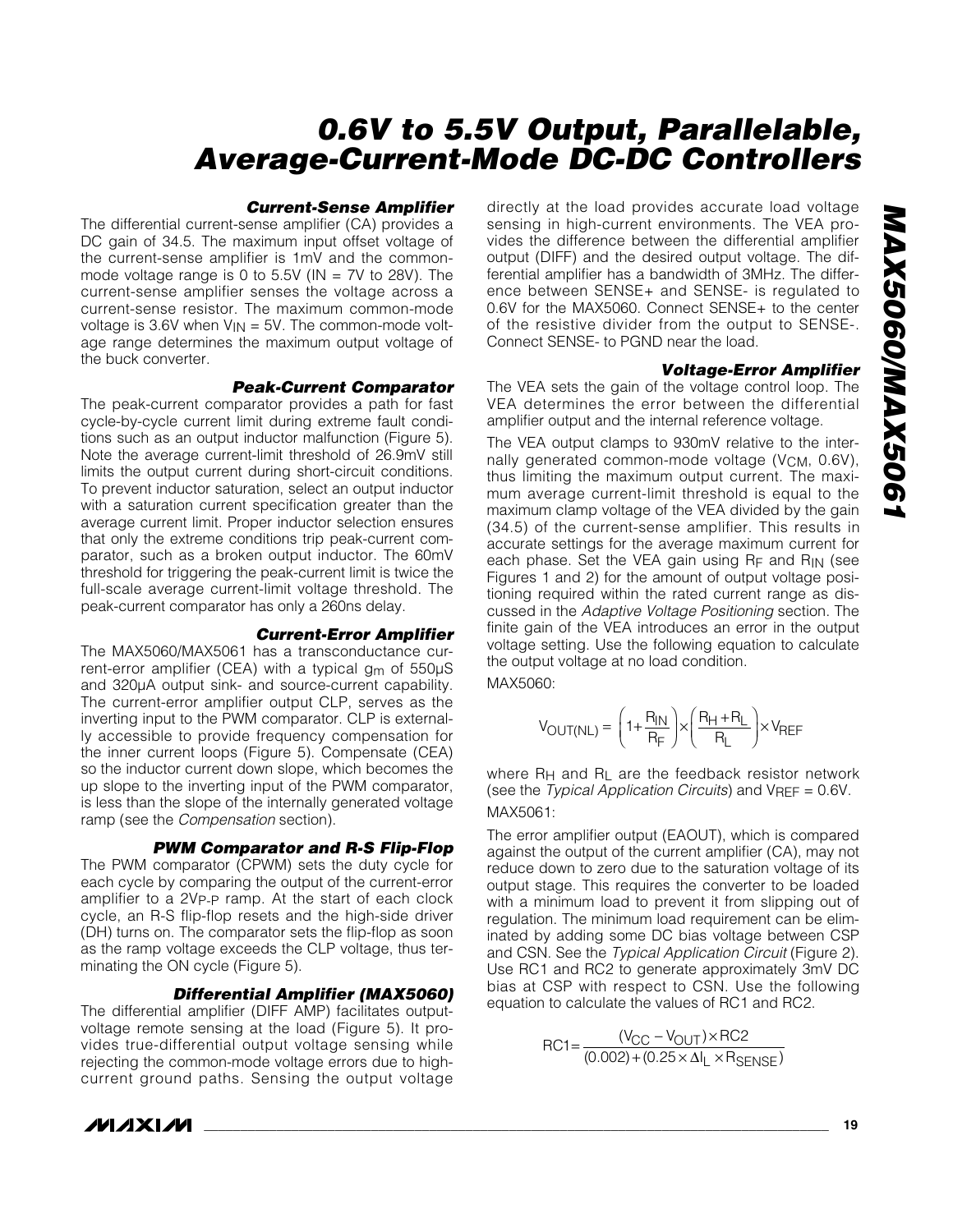#### *Current-Sense Amplifier*

The differential current-sense amplifier (CA) provides a DC gain of 34.5. The maximum input offset voltage of the current-sense amplifier is 1mV and the commonmode voltage range is 0 to 5.5V ( $IN = 7V$  to 28V). The current-sense amplifier senses the voltage across a current-sense resistor. The maximum common-mode voltage is 3.6V when  $V_{IN} = 5V$ . The common-mode voltage range determines the maximum output voltage of the buck converter.

#### *Peak-Current Comparator*

The peak-current comparator provides a path for fast cycle-by-cycle current limit during extreme fault conditions such as an output inductor malfunction (Figure 5). Note the average current-limit threshold of 26.9mV still limits the output current during short-circuit conditions. To prevent inductor saturation, select an output inductor with a saturation current specification greater than the average current limit. Proper inductor selection ensures that only the extreme conditions trip peak-current comparator, such as a broken output inductor. The 60mV threshold for triggering the peak-current limit is twice the full-scale average current-limit voltage threshold. The peak-current comparator has only a 260ns delay.

#### *Current-Error Amplifier*

The MAX5060/MAX5061 has a transconductance current-error amplifier (CEA) with a typical  $g_m$  of 550 $\mu$ S and 320µA output sink- and source-current capability. The current-error amplifier output CLP, serves as the inverting input to the PWM comparator. CLP is externally accessible to provide frequency compensation for the inner current loops (Figure 5). Compensate (CEA) so the inductor current down slope, which becomes the up slope to the inverting input of the PWM comparator, is less than the slope of the internally generated voltage ramp (see the *Compensation* section).

#### *PWM Comparator and R-S Flip-Flop*

The PWM comparator (CPWM) sets the duty cycle for each cycle by comparing the output of the current-error amplifier to a 2VP-P ramp. At the start of each clock cycle, an R-S flip-flop resets and the high-side driver (DH) turns on. The comparator sets the flip-flop as soon as the ramp voltage exceeds the CLP voltage, thus terminating the ON cycle (Figure 5).

#### *Differential Amplifier (MAX5060)*

The differential amplifier (DIFF AMP) facilitates outputvoltage remote sensing at the load (Figure 5). It provides true-differential output voltage sensing while rejecting the common-mode voltage errors due to highcurrent ground paths. Sensing the output voltage directly at the load provides accurate load voltage sensing in high-current environments. The VEA provides the difference between the differential amplifier output (DIFF) and the desired output voltage. The differential amplifier has a bandwidth of 3MHz. The difference between SENSE+ and SENSE- is regulated to 0.6V for the MAX5060. Connect SENSE+ to the center of the resistive divider from the output to SENSE-. Connect SENSE- to PGND near the load.

#### *Voltage-Error Amplifier*

The VEA sets the gain of the voltage control loop. The VEA determines the error between the differential amplifier output and the internal reference voltage.

The VEA output clamps to 930mV relative to the internally generated common-mode voltage (V<sub>CM</sub>, 0.6V), thus limiting the maximum output current. The maximum average current-limit threshold is equal to the maximum clamp voltage of the VEA divided by the gain (34.5) of the current-sense amplifier. This results in accurate settings for the average maximum current for each phase. Set the VEA gain using RF and RIN (see Figures 1 and 2) for the amount of output voltage positioning required within the rated current range as discussed in the *Adaptive Voltage Positioning* section. The finite gain of the VEA introduces an error in the output voltage setting. Use the following equation to calculate the output voltage at no load condition.

MAX5060:

$$
V_{\text{OUT(NL)}} = \left(1 + \frac{R_{\text{IN}}}{R_{\text{F}}}\right) \times \left(\frac{R_{\text{H}} + R_{\text{L}}}{R_{\text{L}}}\right) \times V_{\text{REF}}
$$

where  $R_H$  and  $R_L$  are the feedback resistor network (see the *Typical Application Circuits*) and VREF = 0.6V. MAX5061:

The error amplifier output (EAOUT), which is compared against the output of the current amplifier (CA), may not reduce down to zero due to the saturation voltage of its output stage. This requires the converter to be loaded with a minimum load to prevent it from slipping out of regulation. The minimum load requirement can be eliminated by adding some DC bias voltage between CSP and CSN. See the *Typical Application Circuit* (Figure 2). Use RC1 and RC2 to generate approximately 3mV DC bias at CSP with respect to CSN. Use the following equation to calculate the values of RC1 and RC2.

$$
RC1 = \frac{(V_{CC} - V_{OUT}) \times RC2}{(0.002) + (0.25 \times \Delta I_L \times R_{SENSE})}
$$

## **MAXIM**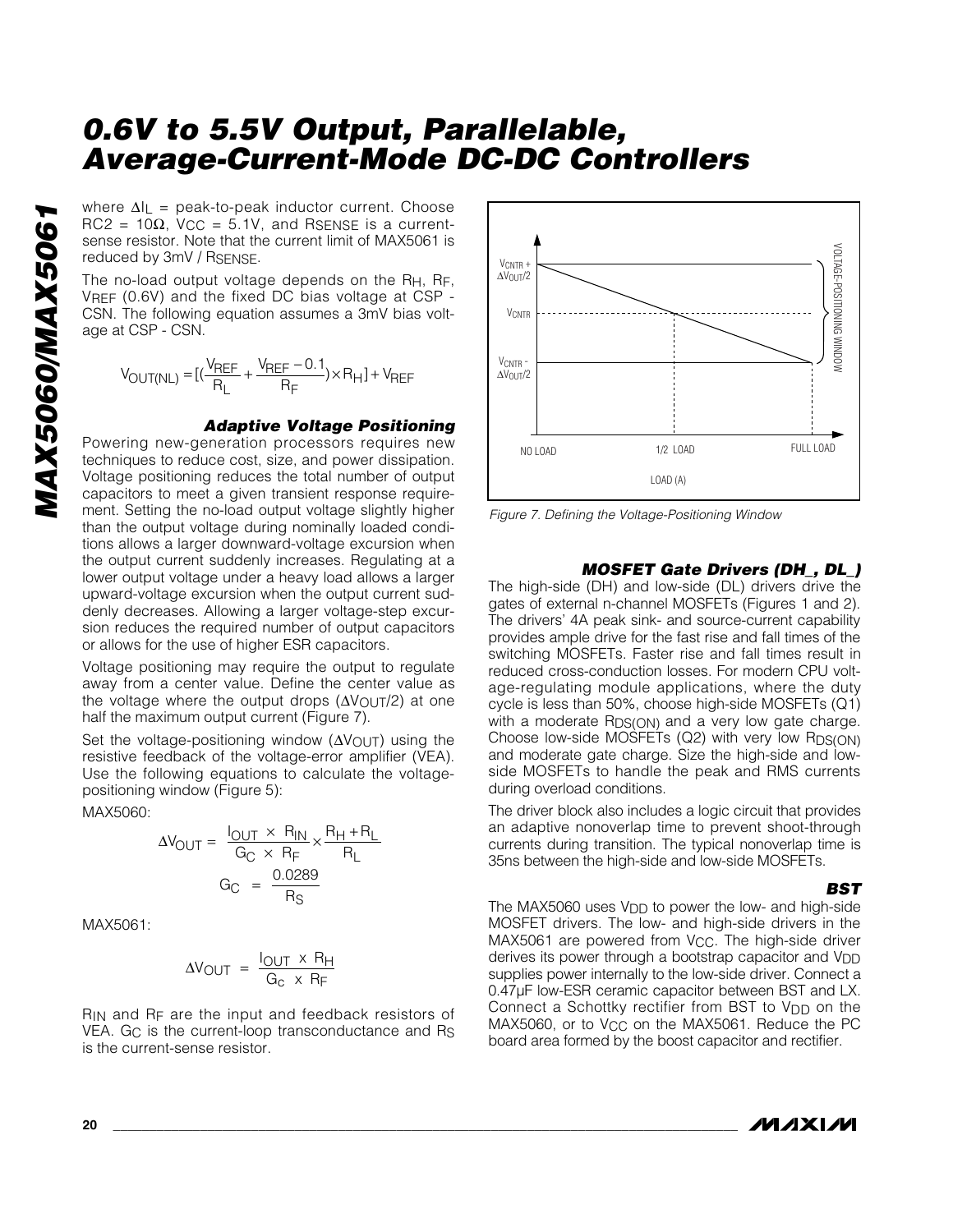where  $\Delta I_L$  = peak-to-peak inductor current. Choose  $RC2 = 10\Omega$ ,  $V_{CC} = 5.1V$ , and RSENSE is a currentsense resistor. Note that the current limit of MAX5061 is reduced by 3mV / RSENSE.

The no-load output voltage depends on the  $R_{H}$ ,  $R_{F}$ , VREF (0.6V) and the fixed DC bias voltage at CSP - CSN. The following equation assumes a 3mV bias voltage at CSP - CSN.

$$
V_{OUT(NL)}=[(\frac{V_{REF}}{R_L}+\frac{V_{REF}-0.1}{R_F})\times R_H]+V_{REF}
$$

#### *Adaptive Voltage Positioning*

Powering new-generation processors requires new techniques to reduce cost, size, and power dissipation. Voltage positioning reduces the total number of output capacitors to meet a given transient response requirement. Setting the no-load output voltage slightly higher than the output voltage during nominally loaded conditions allows a larger downward-voltage excursion when the output current suddenly increases. Regulating at a lower output voltage under a heavy load allows a larger upward-voltage excursion when the output current suddenly decreases. Allowing a larger voltage-step excursion reduces the required number of output capacitors or allows for the use of higher ESR capacitors.

Voltage positioning may require the output to regulate away from a center value. Define the center value as the voltage where the output drops (ΔV<sub>OUT</sub>/2) at one half the maximum output current (Figure 7).

Set the voltage-positioning window (ΔVOUT) using the resistive feedback of the voltage-error amplifier (VEA). Use the following equations to calculate the voltagepositioning window (Figure 5):

MAX5060:

$$
\Delta V_{\text{OUT}} = \frac{I_{\text{OUT}} \times R_{\text{IN}}}{G_{\text{C}} \times R_{\text{F}}} \times \frac{R_{\text{H}} + R_{\text{L}}}{R_{\text{L}}}
$$

$$
G_{\text{C}} = \frac{0.0289}{R_{\text{S}}}
$$

MAX5061:

$$
\Delta V_{\text{OUT}} = \frac{I_{\text{OUT}} \times R_{\text{H}}}{G_{\text{C}} \times R_{\text{F}}}
$$

RIN and RF are the input and feedback resistors of VEA. G<sub>C</sub> is the current-loop transconductance and R<sub>S</sub> is the current-sense resistor.



*Figure 7. Defining the Voltage-Positioning Window*

#### *MOSFET Gate Drivers (DH\_, DL\_)*

The high-side (DH) and low-side (DL) drivers drive the gates of external n-channel MOSFETs (Figures 1 and 2). The drivers' 4A peak sink- and source-current capability provides ample drive for the fast rise and fall times of the switching MOSFETs. Faster rise and fall times result in reduced cross-conduction losses. For modern CPU voltage-regulating module applications, where the duty cycle is less than 50%, choose high-side MOSFETs (Q1) with a moderate R<sub>DS(ON)</sub> and a very low gate charge. Choose low-side MOSFETs  $(Q2)$  with very low RDS $(ON)$ and moderate gate charge. Size the high-side and lowside MOSFETs to handle the peak and RMS currents during overload conditions.

The driver block also includes a logic circuit that provides an adaptive nonoverlap time to prevent shoot-through currents during transition. The typical nonoverlap time is 35ns between the high-side and low-side MOSFETs.

*BST*

The MAX5060 uses V<sub>DD</sub> to power the low- and high-side MOSFET drivers. The low- and high-side drivers in the MAX5061 are powered from V<sub>CC</sub>. The high-side driver derives its power through a bootstrap capacitor and V<sub>DD</sub> supplies power internally to the low-side driver. Connect a 0.47µF low-ESR ceramic capacitor between BST and LX. Connect a Schottky rectifier from BST to V<sub>DD</sub> on the MAX5060, or to V<sub>CC</sub> on the MAX5061. Reduce the PC board area formed by the boost capacitor and rectifier.

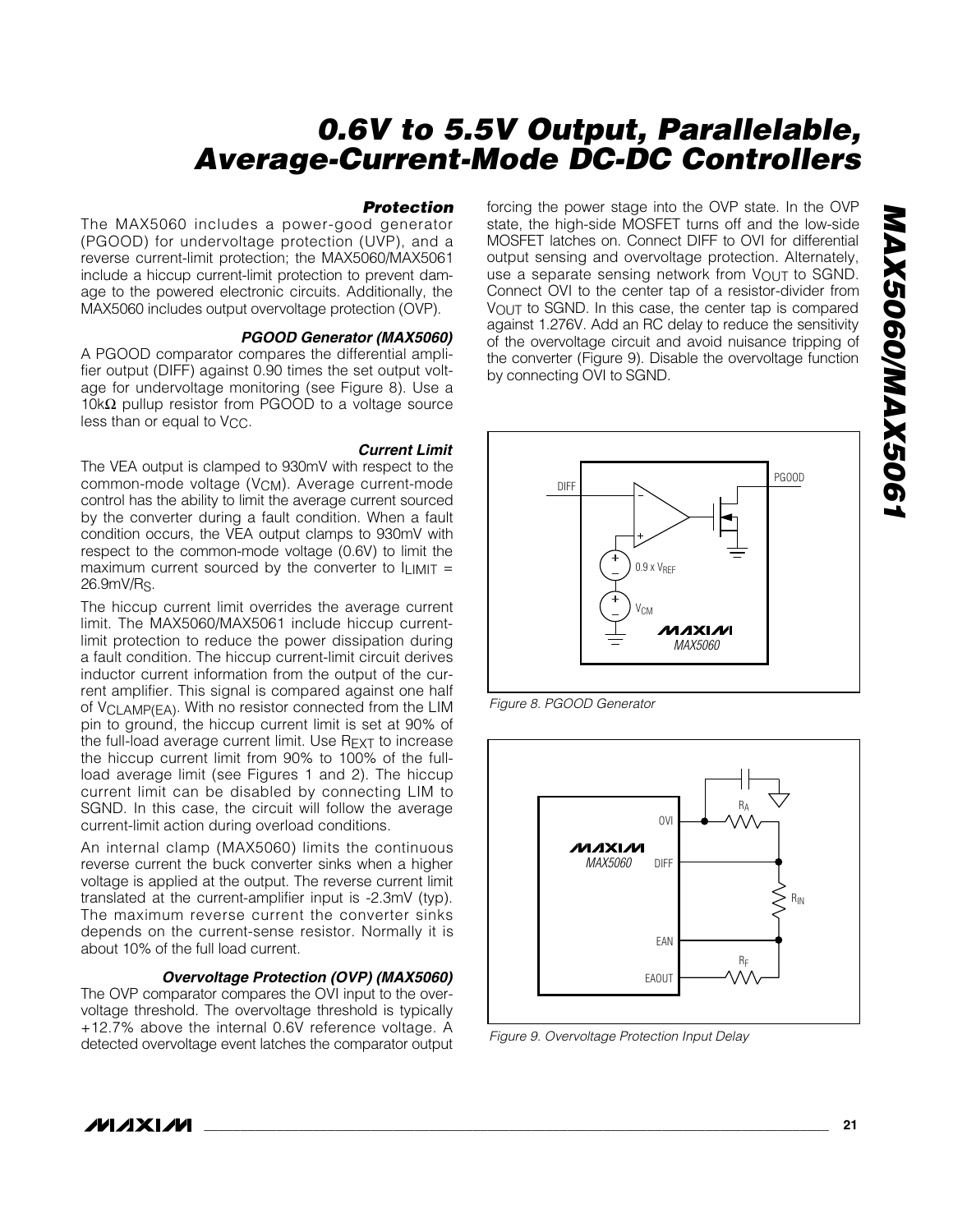#### *Protection*

The MAX5060 includes a power-good generator (PGOOD) for undervoltage protection (UVP), and a reverse current-limit protection; the MAX5060/MAX5061 include a hiccup current-limit protection to prevent damage to the powered electronic circuits. Additionally, the MAX5060 includes output overvoltage protection (OVP).

#### *PGOOD Generator (MAX5060)*

A PGOOD comparator compares the differential amplifier output (DIFF) against 0.90 times the set output voltage for undervoltage monitoring (see Figure 8). Use a 10kΩ pullup resistor from PGOOD to a voltage source less than or equal to V<sub>CC</sub>.

#### *Current Limit*

The VEA output is clamped to 930mV with respect to the common-mode voltage (V<sub>CM</sub>). Average current-mode control has the ability to limit the average current sourced by the converter during a fault condition. When a fault condition occurs, the VEA output clamps to 930mV with respect to the common-mode voltage (0.6V) to limit the maximum current sourced by the converter to  $I_{LIMIT}$  = 26.9mV/RS.

The hiccup current limit overrides the average current limit. The MAX5060/MAX5061 include hiccup currentlimit protection to reduce the power dissipation during a fault condition. The hiccup current-limit circuit derives inductor current information from the output of the current amplifier. This signal is compared against one half of VCLAMP(EA). With no resistor connected from the LIM pin to ground, the hiccup current limit is set at 90% of the full-load average current limit. Use REXT to increase the hiccup current limit from 90% to 100% of the fullload average limit (see Figures 1 and 2). The hiccup current limit can be disabled by connecting LIM to SGND. In this case, the circuit will follow the average current-limit action during overload conditions.

An internal clamp (MAX5060) limits the continuous reverse current the buck converter sinks when a higher voltage is applied at the output. The reverse current limit translated at the current-amplifier input is -2.3mV (typ). The maximum reverse current the converter sinks depends on the current-sense resistor. Normally it is about 10% of the full load current.

#### *Overvoltage Protection (OVP) (MAX5060)*

The OVP comparator compares the OVI input to the overvoltage threshold. The overvoltage threshold is typically +12.7% above the internal 0.6V reference voltage. A detected overvoltage event latches the comparator output

forcing the power stage into the OVP state. In the OVP state, the high-side MOSFET turns off and the low-side MOSFET latches on. Connect DIFF to OVI for differential output sensing and overvoltage protection. Alternately, use a separate sensing network from VOUT to SGND. Connect OVI to the center tap of a resistor-divider from VOUT to SGND. In this case, the center tap is compared against 1.276V. Add an RC delay to reduce the sensitivity of the overvoltage circuit and avoid nuisance tripping of the converter (Figure 9). Disable the overvoltage function by connecting OVI to SGND.



*Figure 8. PGOOD Generator*



*Figure 9. Overvoltage Protection Input Delay*

**MAXM**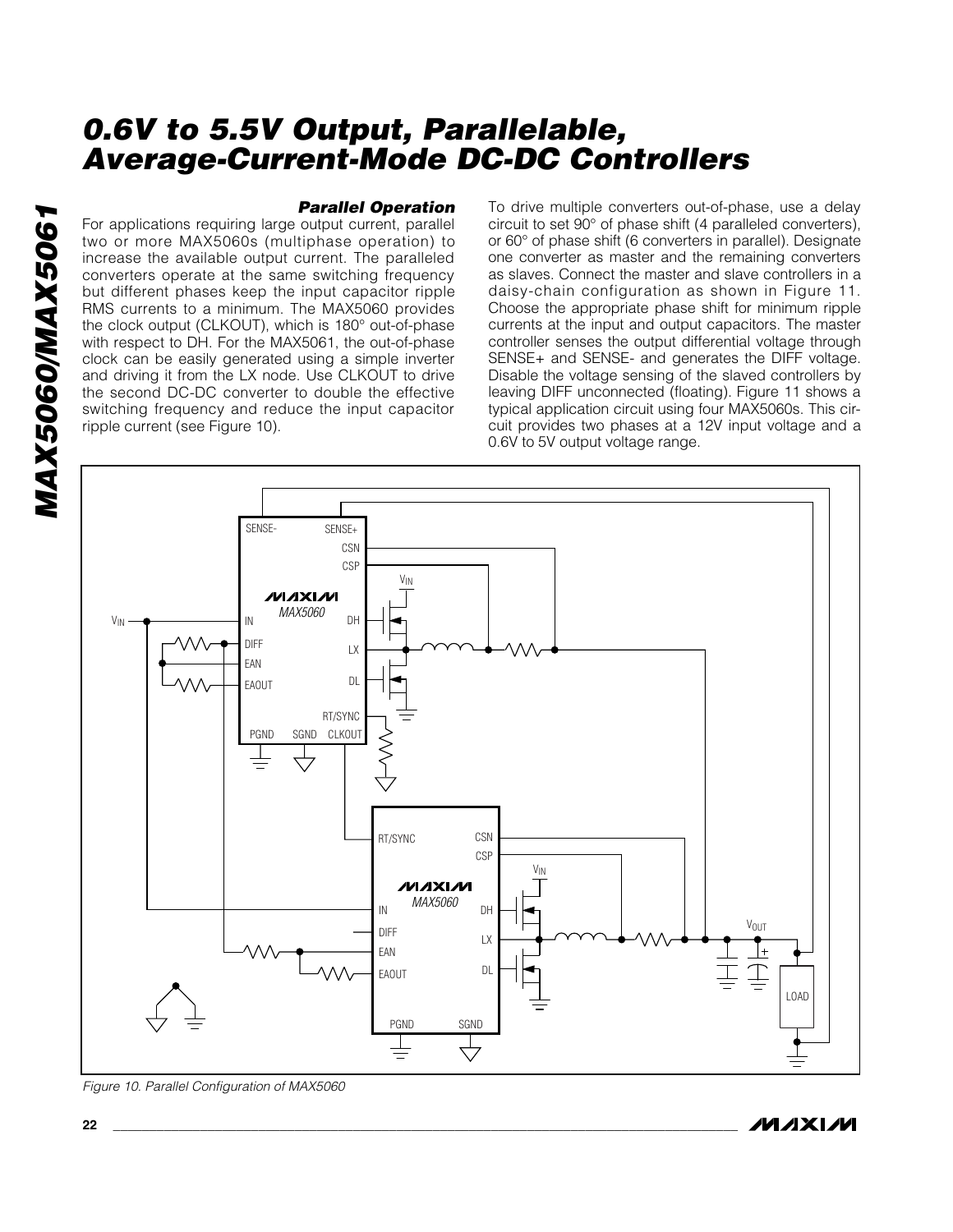*MAX5060/MAX5061* MAX5060/MAX506

#### *Parallel Operation*

For applications requiring large output current, parallel two or more MAX5060s (multiphase operation) to increase the available output current. The paralleled converters operate at the same switching frequency but different phases keep the input capacitor ripple RMS currents to a minimum. The MAX5060 provides the clock output (CLKOUT), which is 180° out-of-phase with respect to DH. For the MAX5061, the out-of-phase clock can be easily generated using a simple inverter and driving it from the LX node. Use CLKOUT to drive the second DC-DC converter to double the effective switching frequency and reduce the input capacitor ripple current (see Figure 10).

To drive multiple converters out-of-phase, use a delay circuit to set 90° of phase shift (4 paralleled converters), or 60° of phase shift (6 converters in parallel). Designate one converter as master and the remaining converters as slaves. Connect the master and slave controllers in a daisy-chain configuration as shown in Figure 11. Choose the appropriate phase shift for minimum ripple currents at the input and output capacitors. The master controller senses the output differential voltage through SENSE+ and SENSE- and generates the DIFF voltage. Disable the voltage sensing of the slaved controllers by leaving DIFF unconnected (floating). Figure 11 shows a typical application circuit using four MAX5060s. This circuit provides two phases at a 12V input voltage and a 0.6V to 5V output voltage range.



*Figure 10. Parallel Configuration of MAX5060*

## /VI /I X I /VI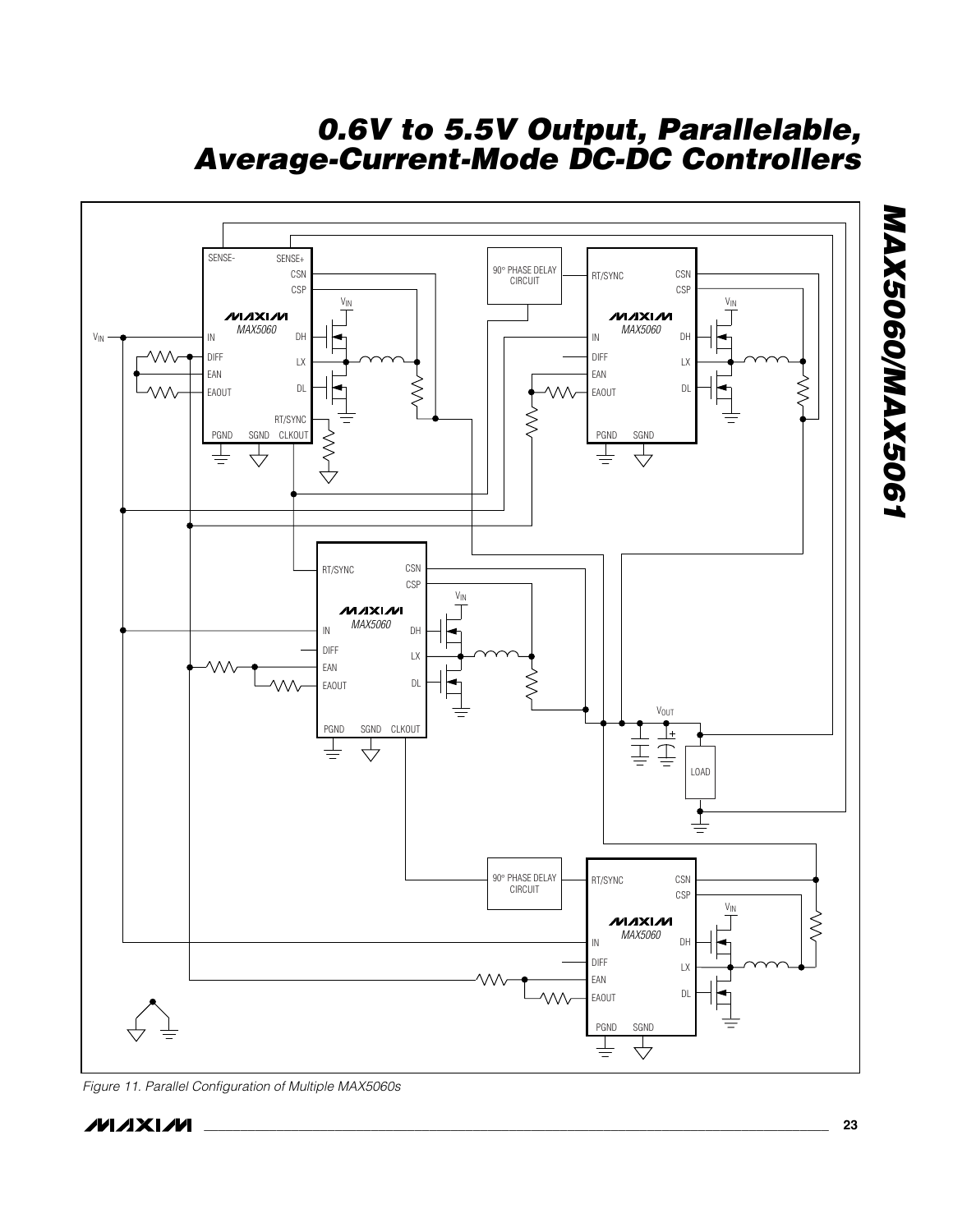

*Figure 11. Parallel Configuration of Multiple MAX5060s*

*MAX5060/MAX5061*

MAX5060/MAX5061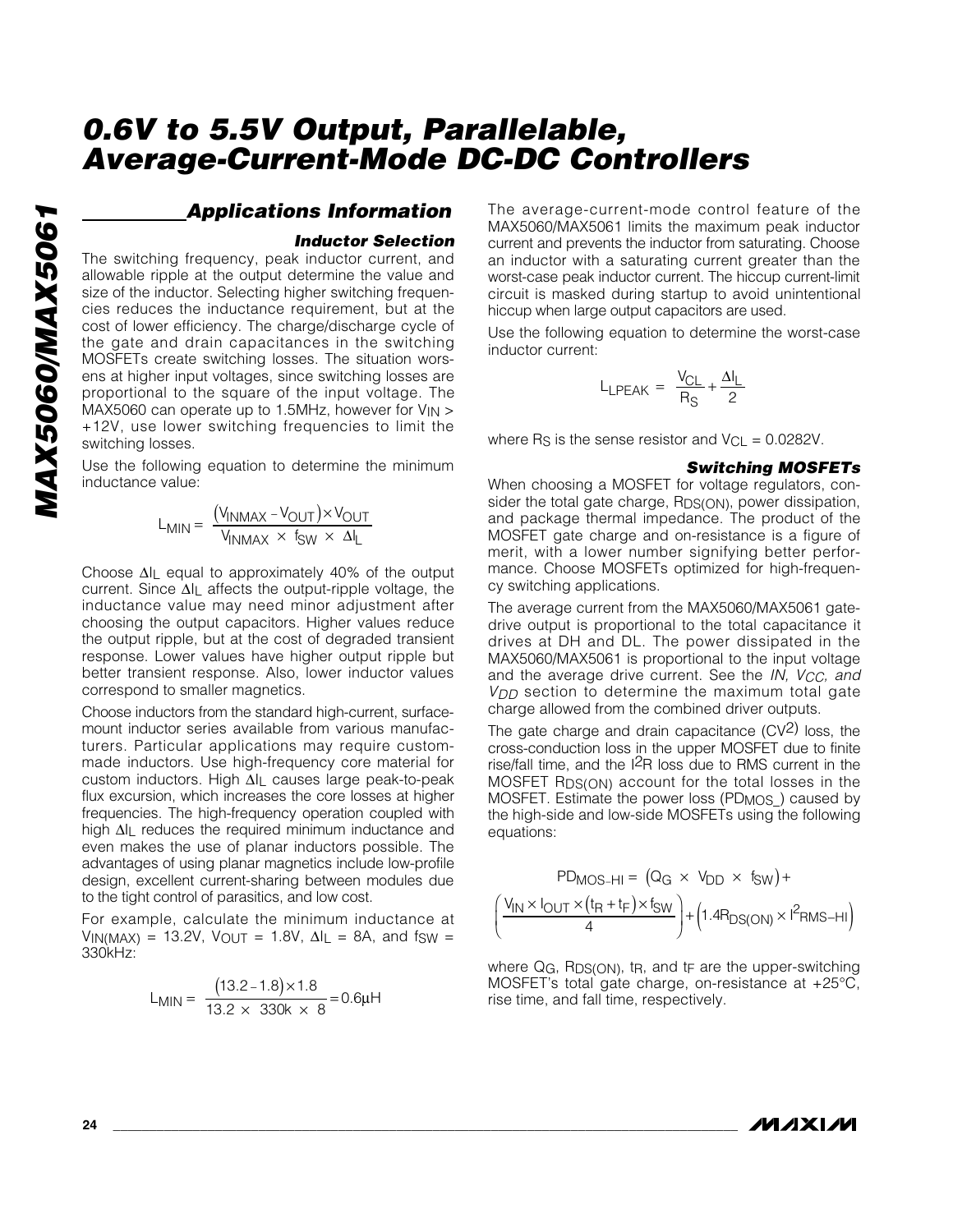# MAX5060/MAX5061 *MAX5060/MAX5061*

### *Applications Information*

#### *Inductor Selection*

The switching frequency, peak inductor current, and allowable ripple at the output determine the value and size of the inductor. Selecting higher switching frequencies reduces the inductance requirement, but at the cost of lower efficiency. The charge/discharge cycle of the gate and drain capacitances in the switching MOSFETs create switching losses. The situation worsens at higher input voltages, since switching losses are proportional to the square of the input voltage. The MAX5060 can operate up to 1.5MHz, however for  $V_{IN}$  > +12V, use lower switching frequencies to limit the switching losses.

Use the following equation to determine the minimum inductance value:

$$
L_{MIN} = \frac{(V_{INMAX} - V_{OUT}) \times V_{OUT}}{V_{INMAX} \times f_{SW} \times \Delta I_{L}}
$$

Choose ∆IL equal to approximately 40% of the output current. Since ∆IL affects the output-ripple voltage, the inductance value may need minor adjustment after choosing the output capacitors. Higher values reduce the output ripple, but at the cost of degraded transient response. Lower values have higher output ripple but better transient response. Also, lower inductor values correspond to smaller magnetics.

Choose inductors from the standard high-current, surfacemount inductor series available from various manufacturers. Particular applications may require custommade inductors. Use high-frequency core material for custom inductors. High ∆IL causes large peak-to-peak flux excursion, which increases the core losses at higher frequencies. The high-frequency operation coupled with high ∆I<sub>L</sub> reduces the required minimum inductance and even makes the use of planar inductors possible. The advantages of using planar magnetics include low-profile design, excellent current-sharing between modules due to the tight control of parasitics, and low cost.

For example, calculate the minimum inductance at VIN(MAX) = 13.2V, VOUT = 1.8V,  $\Delta I_L$  = 8A, and fsw = 330kHz:

$$
L_{MIN} = \frac{(13.2 - 1.8) \times 1.8}{13.2 \times 330k \times 8} = 0.6 \mu H
$$

The average-current-mode control feature of the MAX5060/MAX5061 limits the maximum peak inductor current and prevents the inductor from saturating. Choose an inductor with a saturating current greater than the worst-case peak inductor current. The hiccup current-limit circuit is masked during startup to avoid unintentional hiccup when large output capacitors are used.

Use the following equation to determine the worst-case inductor current:

$$
L_{\text{LPEAK}} = \frac{V_{\text{CL}}}{R_{\text{S}}} + \frac{\Delta I_{\text{L}}}{2}
$$

where R<sub>S</sub> is the sense resistor and  $V_{\text{CL}} = 0.0282V$ .

#### *Switching MOSFETs*

When choosing a MOSFET for voltage regulators, consider the total gate charge, R<sub>DS(ON)</sub>, power dissipation, and package thermal impedance. The product of the MOSFET gate charge and on-resistance is a figure of merit, with a lower number signifying better performance. Choose MOSFETs optimized for high-frequency switching applications.

The average current from the MAX5060/MAX5061 gatedrive output is proportional to the total capacitance it drives at DH and DL. The power dissipated in the MAX5060/MAX5061 is proportional to the input voltage and the average drive current. See the *IN, VCC, and VDD* section to determine the maximum total gate charge allowed from the combined driver outputs.

The gate charge and drain capacitance  $(CV^2)$  loss, the cross-conduction loss in the upper MOSFET due to finite rise/fall time, and the I2R loss due to RMS current in the MOSFET RDS(ON) account for the total losses in the MOSFET. Estimate the power loss (PD<sub>MOS</sub>) caused by the high-side and low-side MOSFETs using the following equations:

$$
PD_{MOS-HI} = (Q_G \times V_{DD} \times f_{SW}) +
$$

$$
\left(\frac{V_{IN} \times I_{OUT} \times (t_R + t_F) \times f_{SW}}{4}\right) + (1.4R_{DS(ON)} \times I^2 RMS-HI)
$$

where  $Q_G$ , R<sub>DS(ON)</sub>, t<sub>R</sub>, and t<sub>F</sub> are the upper-switching MOSFET's total gate charge, on-resistance at +25°C, rise time, and fall time, respectively.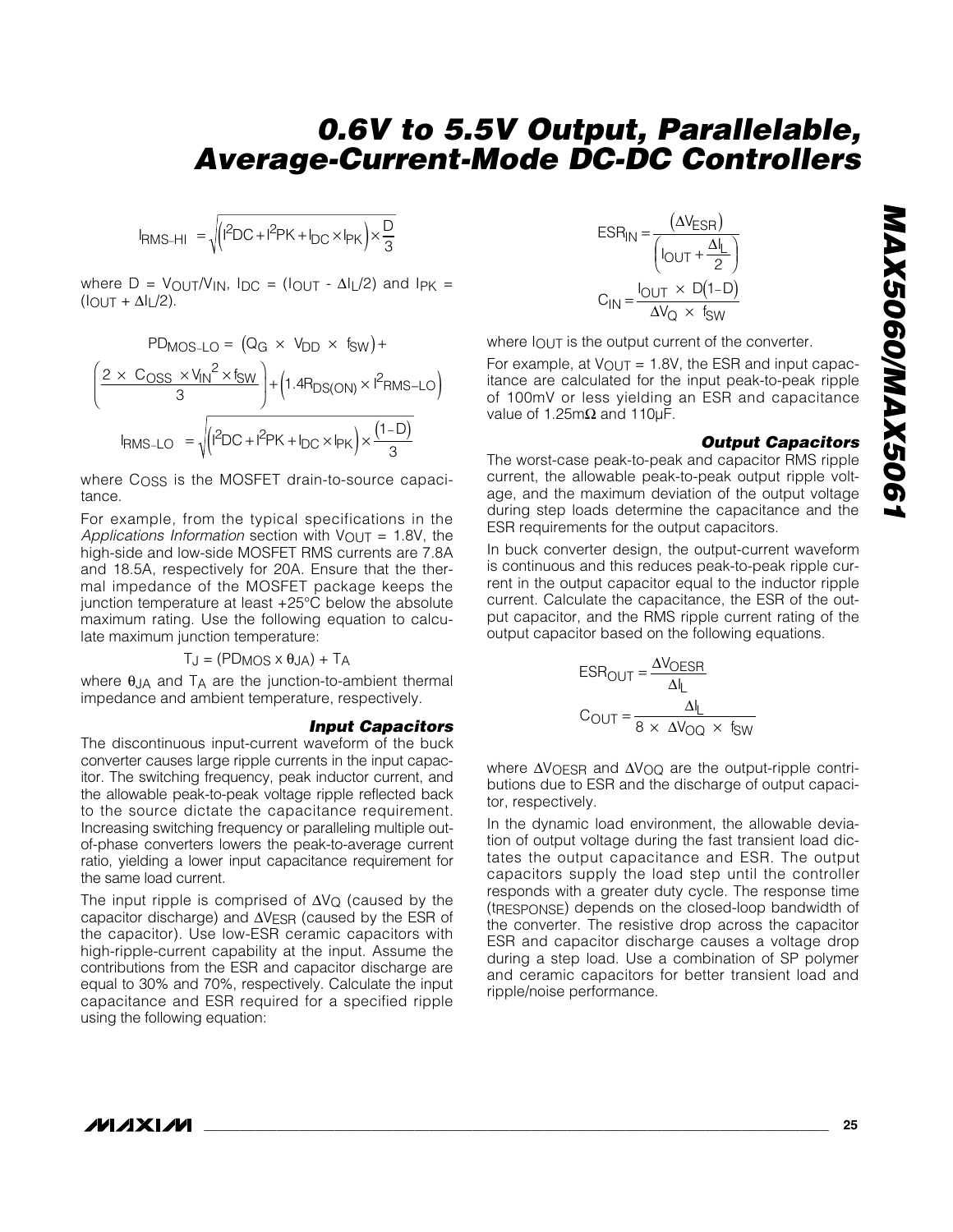$$
I_{RMS-HI} = \sqrt{(1^2DC + 1^2PK + I_{DC} \times I_{PK}) \times \frac{D}{3}}
$$

where  $D = V_{\text{OUT}}/V_{\text{IN}}$ ,  $I_{\text{DC}} = (I_{\text{OUT}} - \Delta I_{\text{L}}/2)$  and  $I_{\text{PK}} =$  $(IOUT + \Delta I_L/2).$ 

$$
PD_{MOS-LO} = (Q_G \times V_{DD} \times f_{SW}) +
$$
\n
$$
\left(\frac{2 \times C_{OSS} \times V_{IN}^{2} \times f_{SW}}{3}\right) + \left(1.4R_{DS(ON)} \times I^{2}RMS - LO\right)
$$
\n
$$
I_{RMS-LO} = \sqrt{\left(I^{2}DC + I^{2}PK + I_{DC} \times I_{PK}\right) \times \frac{(1-D)}{3}}
$$

where  $C<sub>OSS</sub>$  is the MOSFET drain-to-source capacitance.

For example, from the typical specifications in the *Applications Information* section with  $V_{\text{OUT}} = 1.8V$ , the high-side and low-side MOSFET RMS currents are 7.8A and 18.5A, respectively for 20A. Ensure that the thermal impedance of the MOSFET package keeps the junction temperature at least +25°C below the absolute maximum rating. Use the following equation to calculate maximum junction temperature:

$$
T_J = (PD_{MOS} \times \theta_{JA}) + T_A
$$

where  $\theta$ JA and  $T_A$  are the junction-to-ambient thermal impedance and ambient temperature, respectively.

#### *Input Capacitors*

The discontinuous input-current waveform of the buck converter causes large ripple currents in the input capacitor. The switching frequency, peak inductor current, and the allowable peak-to-peak voltage ripple reflected back to the source dictate the capacitance requirement. Increasing switching frequency or paralleling multiple outof-phase converters lowers the peak-to-average current ratio, yielding a lower input capacitance requirement for the same load current.

The input ripple is comprised of ∆VQ (caused by the capacitor discharge) and ∆V<sub>ESR</sub> (caused by the ESR of the capacitor). Use low-ESR ceramic capacitors with high-ripple-current capability at the input. Assume the contributions from the ESR and capacitor discharge are equal to 30% and 70%, respectively. Calculate the input capacitance and ESR required for a specified ripple using the following equation:

$$
ESR_{IN} = \frac{(\Delta V_{ESR})}{(\text{I}_{OUT} + \frac{\Delta I_L}{2})}
$$

$$
C_{IN} = \frac{\text{I}_{OUT} \times D(1-D)}{\Delta V_Q \times f_{SW}}
$$

where  $I_{\text{OUT}}$  is the output current of the converter.

For example, at  $V_{\text{OUT}} = 1.8V$ , the ESR and input capacitance are calculated for the input peak-to-peak ripple of 100mV or less yielding an ESR and capacitance value of 1.25mΩ and 110µF.

#### *Output Capacitors*

The worst-case peak-to-peak and capacitor RMS ripple current, the allowable peak-to-peak output ripple voltage, and the maximum deviation of the output voltage during step loads determine the capacitance and the ESR requirements for the output capacitors.

In buck converter design, the output-current waveform is continuous and this reduces peak-to-peak ripple current in the output capacitor equal to the inductor ripple current. Calculate the capacitance, the ESR of the output capacitor, and the RMS ripple current rating of the output capacitor based on the following equations.

$$
ESR_{OUT} = \frac{\Delta V_{OESR}}{\Delta I_L}
$$

$$
C_{OUT} = \frac{\Delta I_L}{8 \times \Delta V_{OO} \times f_{SW}}
$$

where ∆V<sub>OESR</sub> and ∆V<sub>OQ</sub> are the output-ripple contributions due to ESR and the discharge of output capacitor, respectively.

In the dynamic load environment, the allowable deviation of output voltage during the fast transient load dictates the output capacitance and ESR. The output capacitors supply the load step until the controller responds with a greater duty cycle. The response time (tRESPONSE) depends on the closed-loop bandwidth of the converter. The resistive drop across the capacitor ESR and capacitor discharge causes a voltage drop during a step load. Use a combination of SP polymer and ceramic capacitors for better transient load and ripple/noise performance.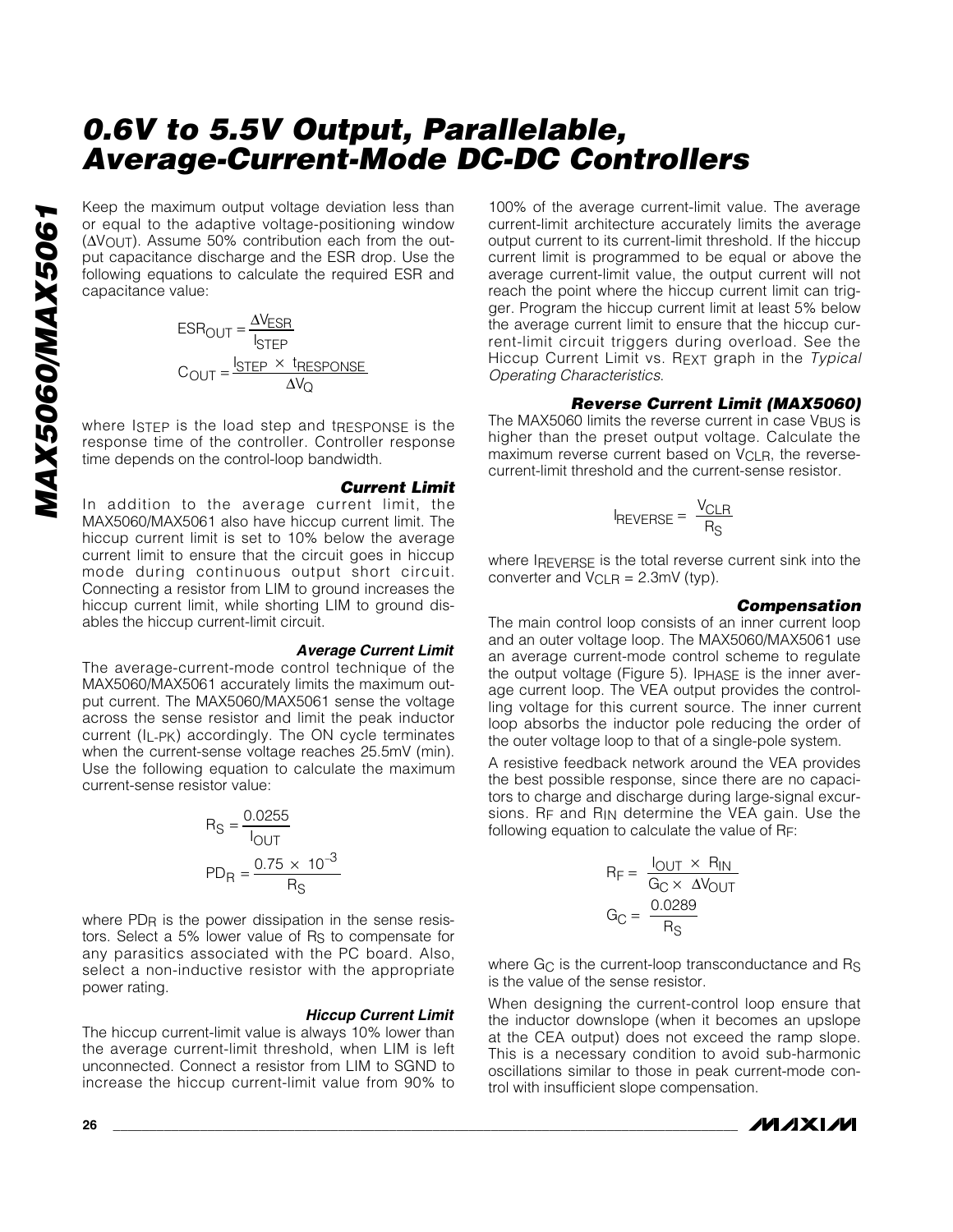Keep the maximum output voltage deviation less than or equal to the adaptive voltage-positioning window (∆VOUT). Assume 50% contribution each from the output capacitance discharge and the ESR drop. Use the following equations to calculate the required ESR and capacitance value:

$$
ESR_{OUT} = \frac{\Delta V_{ESR}}{I_{STEP}}
$$

$$
C_{OUT} = \frac{I_{STEP} \times I_{RESPONSE}}{\Delta V_Q}
$$

where ISTEP is the load step and tRESPONSE is the response time of the controller. Controller response time depends on the control-loop bandwidth.

#### *Current Limit*

In addition to the average current limit, the MAX5060/MAX5061 also have hiccup current limit. The hiccup current limit is set to 10% below the average current limit to ensure that the circuit goes in hiccup mode during continuous output short circuit. Connecting a resistor from LIM to ground increases the hiccup current limit, while shorting LIM to ground disables the hiccup current-limit circuit.

#### *Average Current Limit*

The average-current-mode control technique of the MAX5060/MAX5061 accurately limits the maximum output current. The MAX5060/MAX5061 sense the voltage across the sense resistor and limit the peak inductor current (IL-PK) accordingly. The ON cycle terminates when the current-sense voltage reaches 25.5mV (min). Use the following equation to calculate the maximum current-sense resistor value:

$$
R_{\rm S} = \frac{0.0255}{I_{\rm OUT}}
$$
  
PD<sub>R</sub> =  $\frac{0.75 \times 10^{-3}}{R_{\rm S}}$ 

where PD<sub>R</sub> is the power dissipation in the sense resistors. Select a 5% lower value of R<sub>S</sub> to compensate for any parasitics associated with the PC board. Also, select a non-inductive resistor with the appropriate power rating.

#### *Hiccup Current Limit*

The hiccup current-limit value is always 10% lower than the average current-limit threshold, when LIM is left unconnected. Connect a resistor from LIM to SGND to increase the hiccup current-limit value from 90% to

100% of the average current-limit value. The average current-limit architecture accurately limits the average output current to its current-limit threshold. If the hiccup current limit is programmed to be equal or above the average current-limit value, the output current will not reach the point where the hiccup current limit can trigger. Program the hiccup current limit at least 5% below the average current limit to ensure that the hiccup current-limit circuit triggers during overload. See the Hiccup Current Limit vs. REXT graph in the *Typical Operating Characteristics*.

#### *Reverse Current Limit (MAX5060)*

The MAX5060 limits the reverse current in case VBUS is higher than the preset output voltage. Calculate the maximum reverse current based on V<sub>CLR</sub>, the reversecurrent-limit threshold and the current-sense resistor.

$$
I_{REVERSE} = \frac{V_{CLR}}{R_S}
$$

where IREVERSE is the total reverse current sink into the converter and  $V_{\text{Cl}}$   $R = 2.3$ mV (typ).

#### *Compensation*

The main control loop consists of an inner current loop and an outer voltage loop. The MAX5060/MAX5061 use an average current-mode control scheme to regulate the output voltage (Figure 5). IPHASE is the inner average current loop. The VEA output provides the controlling voltage for this current source. The inner current loop absorbs the inductor pole reducing the order of the outer voltage loop to that of a single-pole system.

A resistive feedback network around the VEA provides the best possible response, since there are no capacitors to charge and discharge during large-signal excursions.  $R_F$  and  $R_{IN}$  determine the VEA gain. Use the following equation to calculate the value of RF:

$$
R_F = \frac{I_{OUT} \times R_{IN}}{G_C \times \Delta V_{OUT}}
$$

$$
G_C = \frac{0.0289}{R_S}
$$

where  $G_C$  is the current-loop transconductance and Rs is the value of the sense resistor.

When designing the current-control loop ensure that the inductor downslope (when it becomes an upslope at the CEA output) does not exceed the ramp slope. This is a necessary condition to avoid sub-harmonic oscillations similar to those in peak current-mode control with insufficient slope compensation.

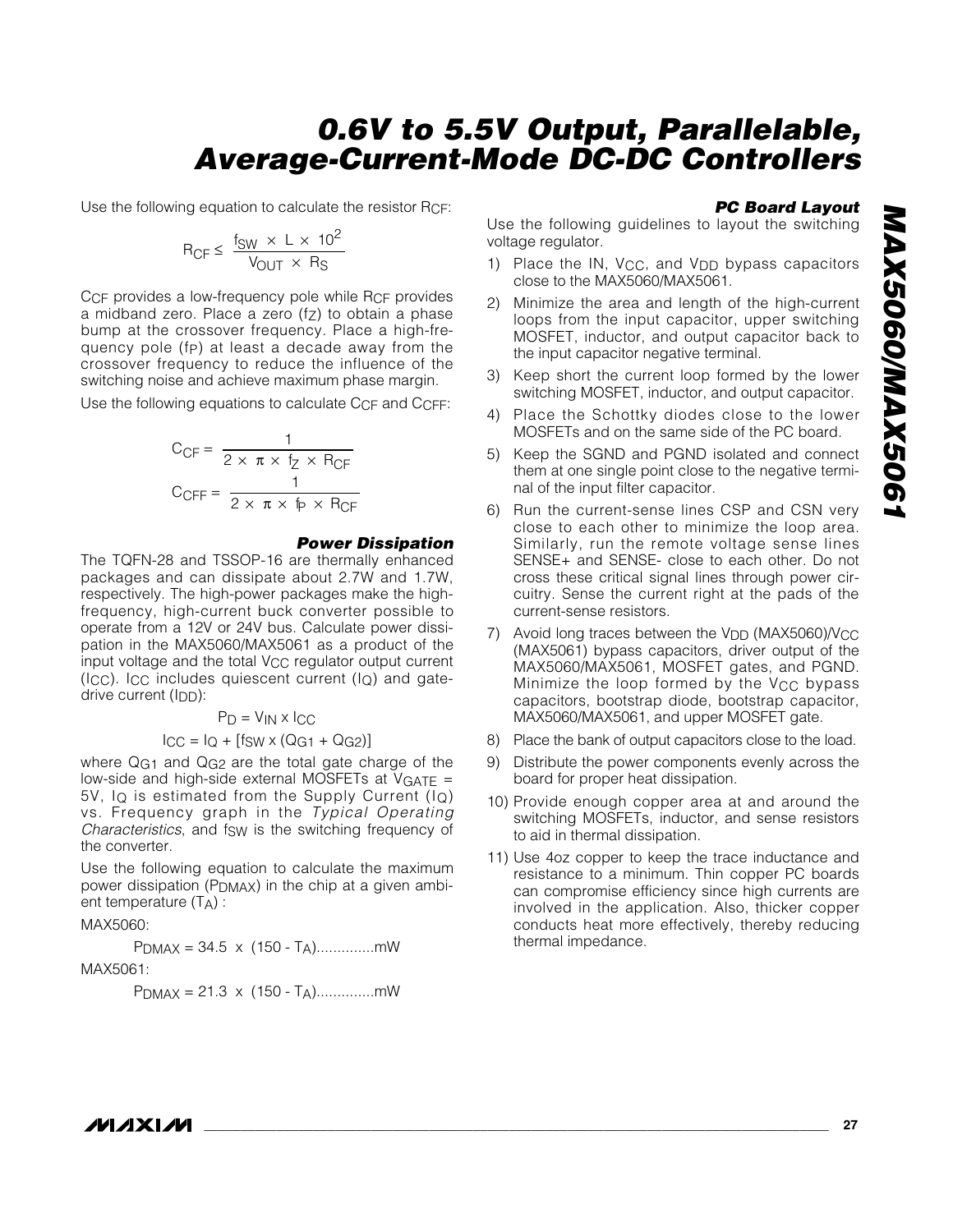Use the following equation to calculate the resistor RCF:

$$
R_{\text{CF}} \leq \frac{f_{\text{SW}} \times L \times 10^2}{V_{\text{OUT}} \times R_{\text{S}}}
$$

C<sub>CF</sub> provides a low-frequency pole while R<sub>CF</sub> provides a midband zero. Place a zero  $(f_Z)$  to obtain a phase bump at the crossover frequency. Place a high-frequency pole (fp) at least a decade away from the crossover frequency to reduce the influence of the switching noise and achieve maximum phase margin.

Use the following equations to calculate CCF and CCFF:

$$
C_{\text{CF}} = \frac{1}{2 \times \pi \times f_Z \times R_{\text{CF}}}
$$

$$
C_{\text{CFF}} = \frac{1}{2 \times \pi \times f_P \times R_{\text{CF}}}
$$

#### *Power Dissipation*

The TQFN-28 and TSSOP-16 are thermally enhanced packages and can dissipate about 2.7W and 1.7W, respectively. The high-power packages make the highfrequency, high-current buck converter possible to operate from a 12V or 24V bus. Calculate power dissipation in the MAX5060/MAX5061 as a product of the input voltage and the total  $V_{CC}$  regulator output current  $(ICC)$ . ICC includes quiescent current  $(I<sub>O</sub>)$  and gatedrive current (IDD):

 $P_D = V_{IN} \times I_{CC}$ 

$$
ICC = IQ + [fSW \times (QG1 + QG2)]
$$

where Q<sub>G1</sub> and Q<sub>G2</sub> are the total gate charge of the low-side and high-side external MOSFETs at  $V<sub>GATE</sub>$  = 5V,  $I_Q$  is estimated from the Supply Current ( $I_Q$ ) vs. Frequency graph in the *Typical Operating Characteristics*, and fsw is the switching frequency of the converter.

Use the following equation to calculate the maximum power dissipation (PDMAX) in the chip at a given ambient temperature (TA) :

#### MAX5060:

PDMAX = 34.5 x (150 - TA)..............mW

$$
\mathsf{MAX5061:}\newline
$$

$$
P_{DMAX} = 21.3 \times (150 - T_A) \dots \dots \dots \dots mW
$$

#### *PC Board Layout*

Use the following guidelines to layout the switching voltage regulator.

- 1) Place the IN, V<sub>CC</sub>, and V<sub>DD</sub> bypass capacitors close to the MAX5060/MAX5061.
- 2) Minimize the area and length of the high-current loops from the input capacitor, upper switching MOSFET, inductor, and output capacitor back to the input capacitor negative terminal.
- 3) Keep short the current loop formed by the lower switching MOSFET, inductor, and output capacitor.
- 4) Place the Schottky diodes close to the lower MOSFETs and on the same side of the PC board.
- 5) Keep the SGND and PGND isolated and connect them at one single point close to the negative terminal of the input filter capacitor.
- 6) Run the current-sense lines CSP and CSN very close to each other to minimize the loop area. Similarly, run the remote voltage sense lines SENSE+ and SENSE- close to each other. Do not cross these critical signal lines through power circuitry. Sense the current right at the pads of the current-sense resistors.
- 7) Avoid long traces between the V<sub>DD</sub> (MAX5060)/V<sub>CC</sub> (MAX5061) bypass capacitors, driver output of the MAX5060/MAX5061, MOSFET gates, and PGND. Minimize the loop formed by the V<sub>CC</sub> bypass capacitors, bootstrap diode, bootstrap capacitor, MAX5060/MAX5061, and upper MOSFET gate.
- 8) Place the bank of output capacitors close to the load.
- 9) Distribute the power components evenly across the board for proper heat dissipation.
- 10) Provide enough copper area at and around the switching MOSFETs, inductor, and sense resistors to aid in thermal dissipation.
- 11) Use 4oz copper to keep the trace inductance and resistance to a minimum. Thin copper PC boards can compromise efficiency since high currents are involved in the application. Also, thicker copper conducts heat more effectively, thereby reducing thermal impedance.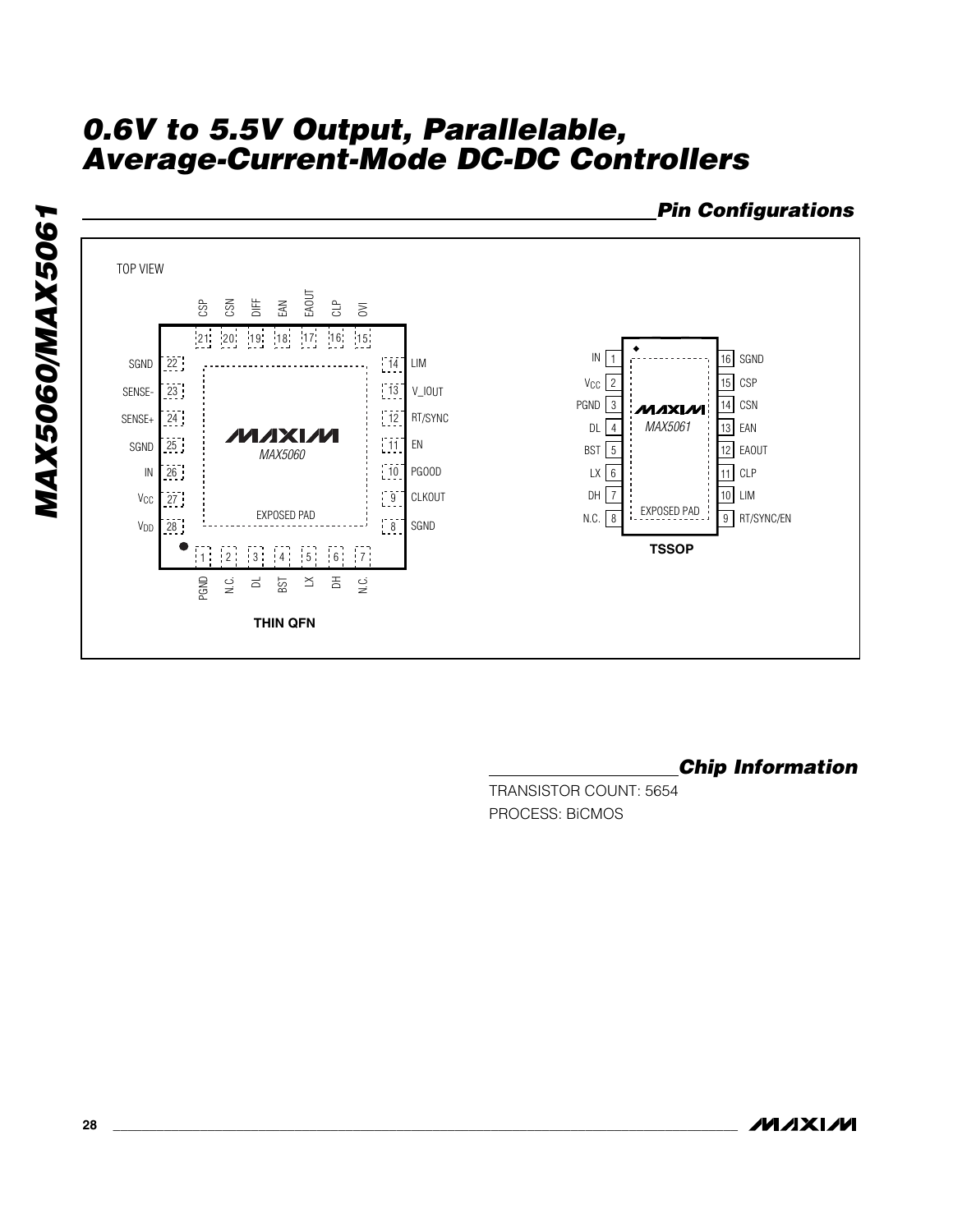

*Chip Information*

TRANSISTOR COUNT: 5654 PROCESS: BiCMOS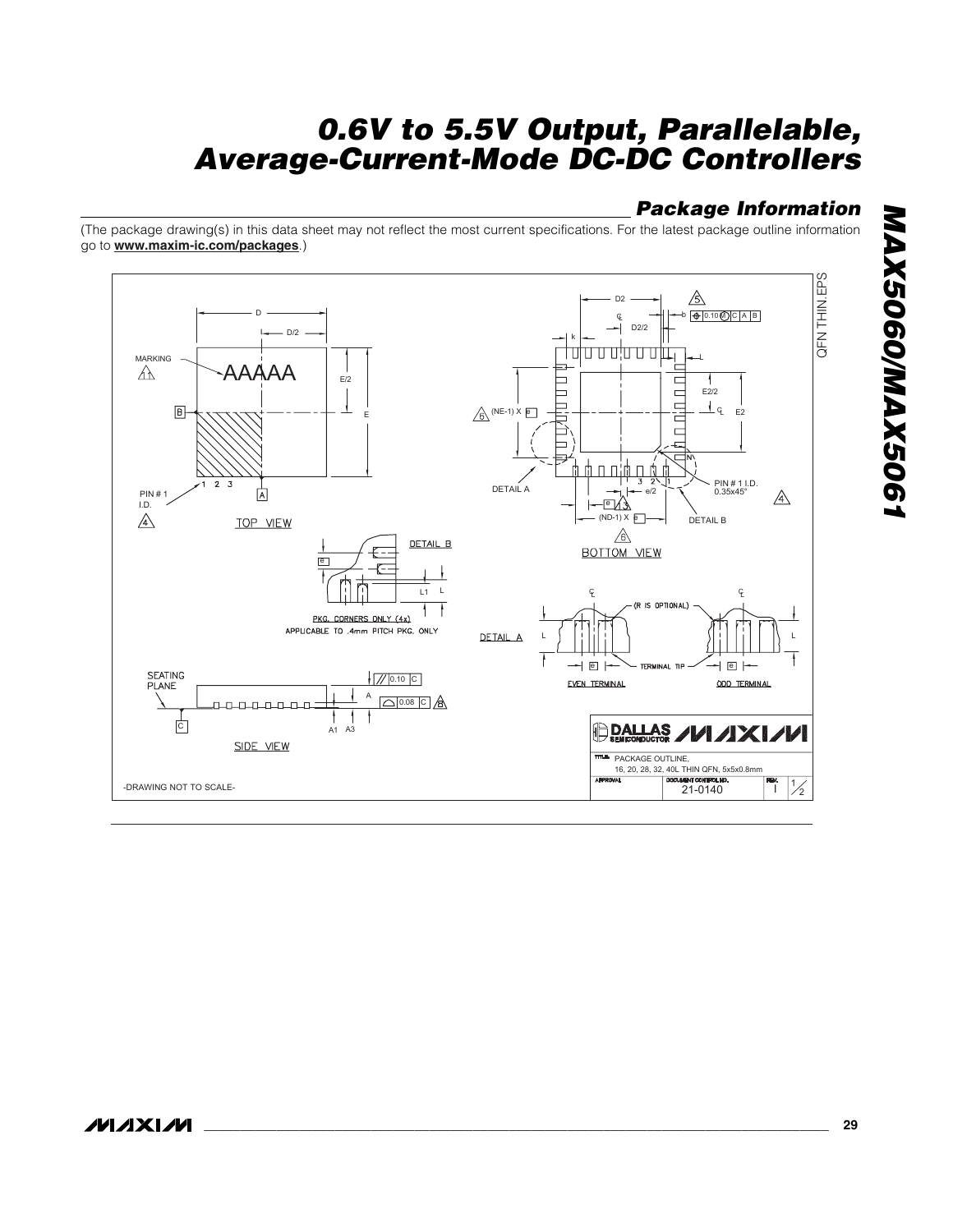## *Package Information*

(The package drawing(s) in this data sheet may not reflect the most current specifications. For the latest package outline information go to **www.maxim-ic.com/packages**.)

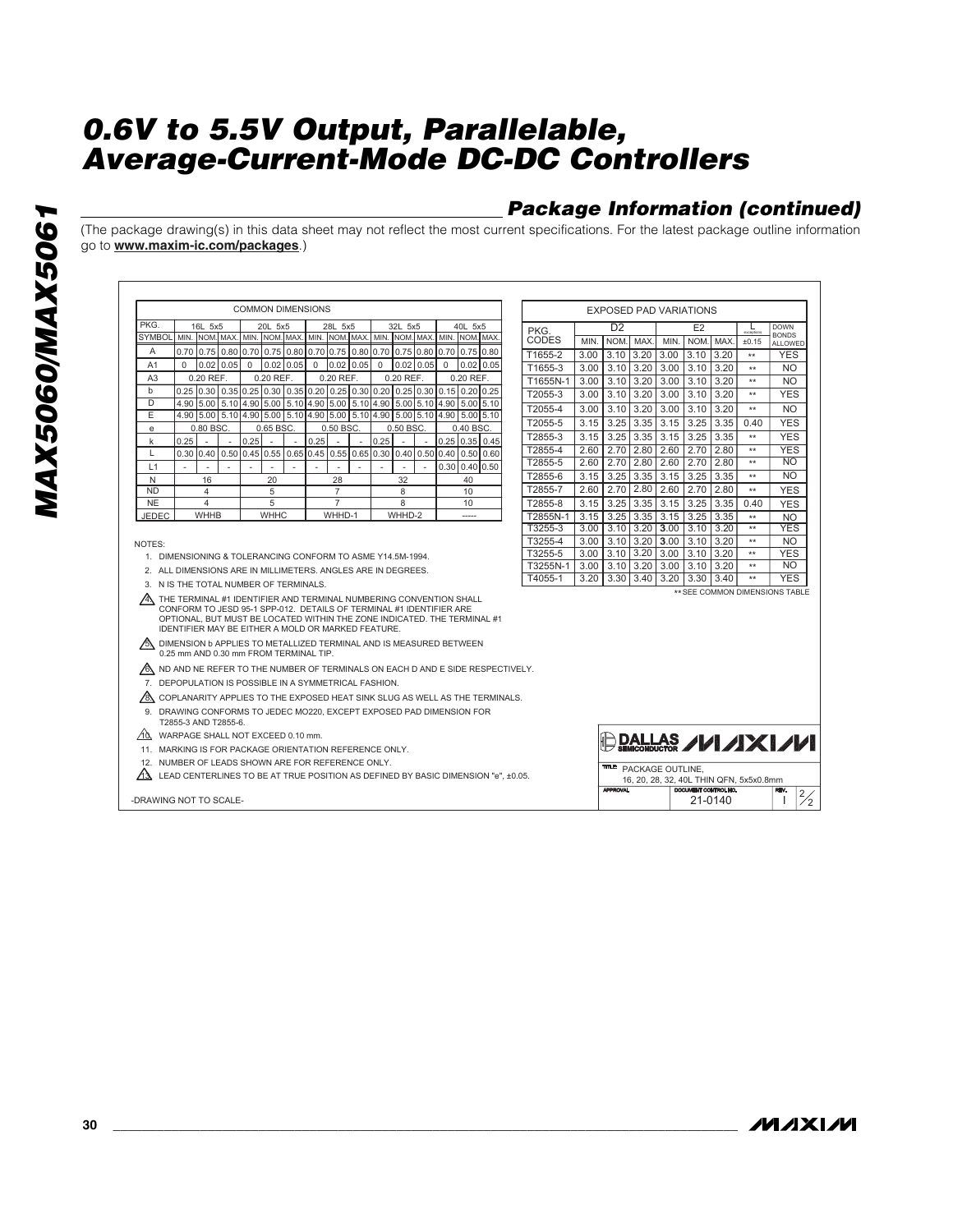## *Package Information (continued)*

(The package drawing(s) in this data sheet may not reflect the most current specifications. For the latest package outline information go to **www.maxim-ic.com/packages**.)

|                  |                                                                                                                                                                                                                                                                               |             |                     |                          | <b>COMMON DIMENSIONS</b> |                          |                          |    |             |                          |             |             |                                                                            |  | <b>EXPOSED PAD VARIATIONS</b> |      |                                   |            |                        |                      |         |                                         |                                |
|------------------|-------------------------------------------------------------------------------------------------------------------------------------------------------------------------------------------------------------------------------------------------------------------------------|-------------|---------------------|--------------------------|--------------------------|--------------------------|--------------------------|----|-------------|--------------------------|-------------|-------------|----------------------------------------------------------------------------|--|-------------------------------|------|-----------------------------------|------------|------------------------|----------------------|---------|-----------------------------------------|--------------------------------|
| PKG.             | 16L 5x5                                                                                                                                                                                                                                                                       |             |                     | 20L 5x5                  |                          |                          | 28L 5x5                  |    |             | 32L 5x5                  |             |             | 40L 5x5                                                                    |  | PKG.                          |      | D <sub>2</sub>                    |            |                        | E2                   |         | L                                       | <b>DOWN</b>                    |
| <b>SYMBOL</b>    | MIN. NOM. MAX. MIN. NOM. MAX. MIN. NOM. MAX. MIN. NOM. MAX. MIN. NOM. MAX.                                                                                                                                                                                                    |             |                     |                          |                          |                          |                          |    |             |                          |             |             |                                                                            |  | CODES                         | MIN. | <b>NOM</b>                        | <b>MAX</b> | MIN.                   | NOM                  | MAX.    | ±0.15                                   | <b>BONDS</b><br>ALLOWED        |
| A                | 0.70 0.75 0.80 0.70 0.75 0.80 0.70 0.75 0.80 0.70 0.75 0.80 0.70 0.70 0.75 0.80                                                                                                                                                                                               |             |                     |                          |                          |                          |                          |    |             |                          |             |             |                                                                            |  | T1655-2                       | 3.00 | 3.10                              | 3.20       | 3.00                   | 3.10                 | 3.20    | $**$                                    | <b>YES</b>                     |
| A <sub>1</sub>   | $\Omega$                                                                                                                                                                                                                                                                      | $0.02$ 0.05 | $\mathbf 0$         |                          | $0.02$ $0.05$            | $\mathbf 0$              | $0.02$ $0.05$            |    | $\mathbf 0$ |                          | $0.02$ 0.05 | $\mathbf 0$ | $0.02$ $0.05$                                                              |  | T1655-3                       | 3.00 | 3.10                              | 3.20       | 3.00                   | 3.10                 | 3.20    | $**$                                    | N <sub>O</sub>                 |
| A <sub>3</sub>   | 0.20 REF.                                                                                                                                                                                                                                                                     |             |                     | 0.20 REF.                |                          |                          | 0.20 REF.                |    |             | 0.20 REF.                |             |             | $0.20$ REF.                                                                |  | T1655N-1                      | 3.00 | 3.10                              | 3.20       | 3.00                   | 3.10                 | 3.20    | $**$                                    | N <sub>O</sub>                 |
| $\mathbf b$<br>D | 0.25 0.30 0.35 0.25 0.30 0.35 0.20 0.25 0.30 0.20 0.25 0.30 0.15 0.20 0.25                                                                                                                                                                                                    |             |                     |                          |                          |                          |                          |    |             |                          |             |             |                                                                            |  | T2055-3                       | 3.00 | 3.10                              | 3.20       | 3.00                   | 3.10                 | 3.20    | $**$                                    | <b>YES</b>                     |
| Ε                | 4.90<br>4.90 5.00 5.10 4.90 5.00 5.10 4.90 5.00 5.10 4.90 5.00 5.10 4.90 5.00 5.10                                                                                                                                                                                            |             |                     |                          |                          |                          |                          |    |             |                          |             |             | 5.00 5.10 4.90 5.00 5.10 4.90 5.00 5.10 4.90 5.00 5.10 4.90 5.00 5.00 5.10 |  | T2055-4                       | 3.00 | 3.10                              | 3.20       | 3.00                   | 3.10                 | 3.20    | $**$                                    | N <sub>O</sub>                 |
| e                | 0.80 BSC.                                                                                                                                                                                                                                                                     |             |                     | 0.65 BSC.                |                          |                          | 0.50 BSC.                |    |             | 0.50 BSC.                |             |             | $0.40$ BSC                                                                 |  | T2055-5                       | 3.15 | 3.25                              | 3.35       | 3.15                   | 3.25                 | 3.35    | 0.40                                    | <b>YES</b>                     |
| k                | 0.25                                                                                                                                                                                                                                                                          | $\sim$      | 0.25                |                          | $\sim$                   | 0.25                     |                          | ÷. | 0.25        |                          |             |             | $0.25$ $0.35$ $0.45$                                                       |  | T2855-3                       | 3.15 | 3.25                              | 3.35       | 3.15                   | 3.25                 | 3.35    | $**$                                    | <b>YES</b>                     |
| L                | 0.30                                                                                                                                                                                                                                                                          |             | 0.40 0.50 0.45 0.55 |                          |                          |                          | 0.65 0.45 0.55 0.65 0.30 |    |             |                          |             |             | 0.4010.5010.4010.5010.60                                                   |  | T2855-4                       | 2.60 | 2.70                              | 2.80       | 2.60                   | 2.70                 | 2.80    | $**$                                    | <b>YES</b>                     |
| L1               | $\overline{\phantom{a}}$<br>٠                                                                                                                                                                                                                                                 | ٠           |                     | $\overline{\phantom{a}}$ | ٠                        | $\overline{\phantom{a}}$ | $\overline{\phantom{a}}$ |    | ÷,          | $\overline{\phantom{a}}$ |             | 0.30        | 0.40 0.50                                                                  |  | T2855-5                       | 2.60 | 2.70                              | 2.80       | 2.60                   | 2.70                 | 2.80    | $**$                                    | <b>NO</b>                      |
| N                | 16                                                                                                                                                                                                                                                                            |             |                     | 20                       |                          |                          | 28                       |    |             | 32                       |             |             | 40                                                                         |  | T2855-6                       | 3.15 | 3.25                              | 3.35       | 3.15                   | 3.25                 | 3.35    | $**$                                    | N <sub>O</sub>                 |
| <b>ND</b>        | 4                                                                                                                                                                                                                                                                             |             |                     | 5                        |                          |                          | $\overline{7}$           |    |             | 8                        |             |             | 10                                                                         |  | T2855-7                       | 2.60 | 2.70                              | 2.80       | 2.60                   | 2.70                 | 2.80    | $**$                                    | <b>YES</b>                     |
| <b>NE</b>        | 4                                                                                                                                                                                                                                                                             |             |                     | 5                        |                          |                          | $\overline{7}$           |    |             | 8                        |             |             | 10                                                                         |  | T2855-8                       | 3.15 | 3.25                              | 3.35       | 3.15                   | 3.25                 | 3.35    | 0.40                                    | <b>YES</b>                     |
| <b>JEDEC</b>     | WHHB                                                                                                                                                                                                                                                                          |             |                     | <b>WHHC</b>              |                          |                          | WHHD-1                   |    |             | WHHD-2                   |             |             | $\overline{a}$                                                             |  | T2855N-1                      | 3.15 | 3.25                              | 3.35       | 3.15                   | 3.25                 | 3.35    | $**$                                    | <b>NO</b>                      |
|                  |                                                                                                                                                                                                                                                                               |             |                     |                          |                          |                          |                          |    |             |                          |             |             |                                                                            |  | T3255-3                       |      | $3.00$   $3.10$   $3.20$   $3.00$ |            |                        | 3.10                 | 3.20    | $**$                                    | <b>YES</b>                     |
| NOTES:           |                                                                                                                                                                                                                                                                               |             |                     |                          |                          |                          |                          |    |             |                          |             |             |                                                                            |  | T3255-4                       | 3.00 | 3.10 3.20 3.00                    |            |                        | 3.10                 | 3.20    | $**$                                    | N <sub>O</sub>                 |
|                  | 1. DIMENSIONING & TOLERANCING CONFORM TO ASME Y14.5M-1994.                                                                                                                                                                                                                    |             |                     |                          |                          |                          |                          |    |             |                          |             |             |                                                                            |  | T3255-5                       |      | $3.00$ $\mid$ $3.10$              | l 3.20     | 3.00                   | 3.10                 | 3.20    | $**$                                    | <b>YES</b>                     |
|                  | 2. ALL DIMENSIONS ARE IN MILLIMETERS. ANGLES ARE IN DEGREES.                                                                                                                                                                                                                  |             |                     |                          |                          |                          |                          |    |             |                          |             |             |                                                                            |  | T3255N-1                      | 3.00 | 3.10                              | 3.20       | 3.00                   | 3.10                 | 3.20    | $**$                                    | N <sub>O</sub><br><b>YES</b>   |
|                  | 3. N IS THE TOTAL NUMBER OF TERMINALS.                                                                                                                                                                                                                                        |             |                     |                          |                          |                          |                          |    |             |                          |             |             |                                                                            |  | T4055-1                       | 3.20 | 3.30                              | 3.40       | 3.20                   | 3.30                 | 3.40    | $**$                                    |                                |
|                  | A THE TERMINAL #1 IDENTIFIER AND TERMINAL NUMBERING CONVENTION SHALL<br>CONFORM TO JESD 95-1 SPP-012. DETAILS OF TERMINAL #1 IDENTIFIER ARE<br>OPTIONAL, BUT MUST BE LOCATED WITHIN THE ZONE INDICATED. THE TERMINAL #1<br>IDENTIFIER MAY BE EITHER A MOLD OR MARKED FEATURE. |             |                     |                          |                          |                          |                          |    |             |                          |             |             |                                                                            |  |                               |      |                                   |            |                        |                      |         |                                         | ** SEE COMMON DIMENSIONS TABLE |
|                  | DIMENSION b APPLIES TO METALLIZED TERMINAL AND IS MEASURED BETWEEN<br>0.25 mm AND 0.30 mm FROM TERMINAL TIP.                                                                                                                                                                  |             |                     |                          |                          |                          |                          |    |             |                          |             |             |                                                                            |  |                               |      |                                   |            |                        |                      |         |                                         |                                |
|                  | AS ND AND NE REFER TO THE NUMBER OF TERMINALS ON EACH D AND E SIDE RESPECTIVELY.                                                                                                                                                                                              |             |                     |                          |                          |                          |                          |    |             |                          |             |             |                                                                            |  |                               |      |                                   |            |                        |                      |         |                                         |                                |
|                  | 7. DEPOPULATION IS POSSIBLE IN A SYMMETRICAL FASHION.                                                                                                                                                                                                                         |             |                     |                          |                          |                          |                          |    |             |                          |             |             |                                                                            |  |                               |      |                                   |            |                        |                      |         |                                         |                                |
| 78N              | COPLANARITY APPLIES TO THE EXPOSED HEAT SINK SLUG AS WELL AS THE TERMINALS.                                                                                                                                                                                                   |             |                     |                          |                          |                          |                          |    |             |                          |             |             |                                                                            |  |                               |      |                                   |            |                        |                      |         |                                         |                                |
|                  | 9. DRAWING CONFORMS TO JEDEC MO220, EXCEPT EXPOSED PAD DIMENSION FOR<br>T2855-3 AND T2855-6.                                                                                                                                                                                  |             |                     |                          |                          |                          |                          |    |             |                          |             |             |                                                                            |  |                               |      |                                   |            |                        |                      |         |                                         |                                |
| ⁄1Ò.             | WARPAGE SHALL NOT EXCEED 0.10 mm.                                                                                                                                                                                                                                             |             |                     |                          |                          |                          |                          |    |             |                          |             |             |                                                                            |  |                               |      |                                   |            |                        |                      |         |                                         |                                |
|                  | 11. MARKING IS FOR PACKAGE ORIENTATION REFERENCE ONLY.                                                                                                                                                                                                                        |             |                     |                          |                          |                          |                          |    |             |                          |             |             |                                                                            |  |                               |      |                                   |            |                        |                      |         |                                         | DALLAS <b>////X///</b>         |
|                  | 12. NUMBER OF LEADS SHOWN ARE FOR REFERENCE ONLY.                                                                                                                                                                                                                             |             |                     |                          |                          |                          |                          |    |             |                          |             |             |                                                                            |  |                               |      |                                   |            | TTLE: PACKAGE OUTLINE, |                      |         |                                         |                                |
| Иλ               | LEAD CENTERLINES TO BE AT TRUE POSITION AS DEFINED BY BASIC DIMENSION "e", ±0.05.                                                                                                                                                                                             |             |                     |                          |                          |                          |                          |    |             |                          |             |             |                                                                            |  |                               |      |                                   |            |                        |                      |         | 16, 20, 28, 32, 40L THIN QFN, 5x5x0.8mm |                                |
|                  |                                                                                                                                                                                                                                                                               |             |                     |                          |                          |                          |                          |    |             |                          |             |             |                                                                            |  |                               |      | <b>APPROVAL</b>                   |            |                        | DOCUMENT CONTROL NO. |         |                                         | REV.                           |
|                  | -DRAWING NOT TO SCALE-                                                                                                                                                                                                                                                        |             |                     |                          |                          |                          |                          |    |             |                          |             |             |                                                                            |  |                               |      |                                   |            |                        |                      | 21-0140 |                                         | $\frac{2}{2}$                  |

**MAXM**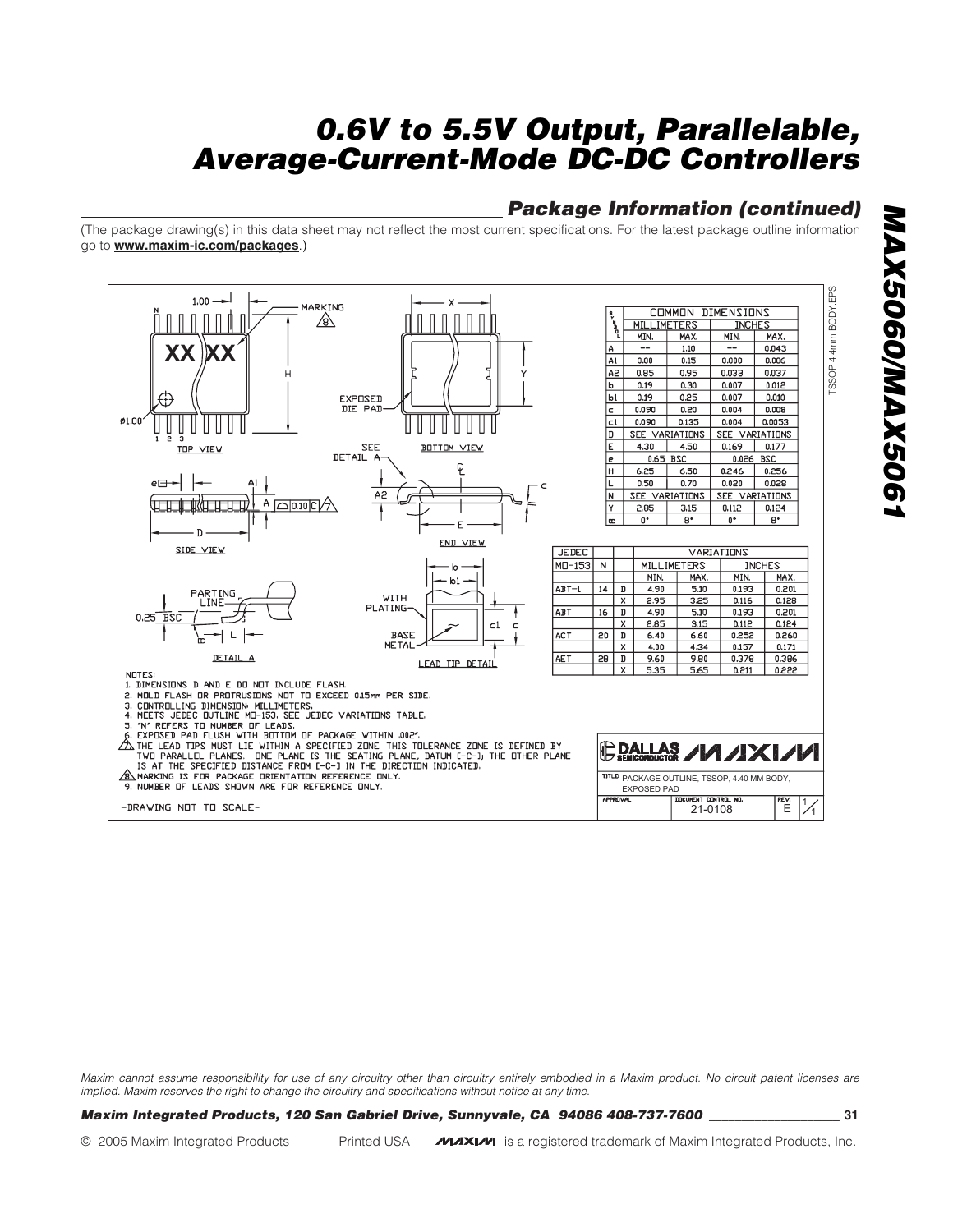## *Package Information (continued)*

(The package drawing(s) in this data sheet may not reflect the most current specifications. For the latest package outline information go to **www.maxim-ic.com/packages**.)



*Maxim cannot assume responsibility for use of any circuitry other than circuitry entirely embodied in a Maxim product. No circuit patent licenses are implied. Maxim reserves the right to change the circuitry and specifications without notice at any time.*

#### *Maxim Integrated Products, 120 San Gabriel Drive, Sunnyvale, CA 94086 408-737-7600 \_\_\_\_\_\_\_\_\_\_\_\_\_\_\_\_\_\_\_\_* **31**

© 2005 Maxim Integrated Products Printed USA **MAXIM** is a registered trademark of Maxim Integrated Products, Inc.